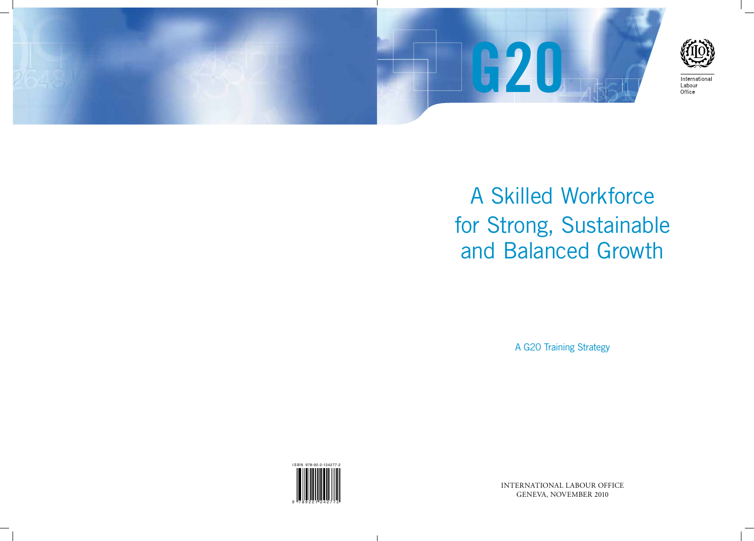



International Labour Office

# A Skilled Workforce for Strong, Sustainable and Balanced Growth

A G20 Training Strategy

INTERNATIONAL LABOUR OFFICE GENEVA, NOVEMBER 2010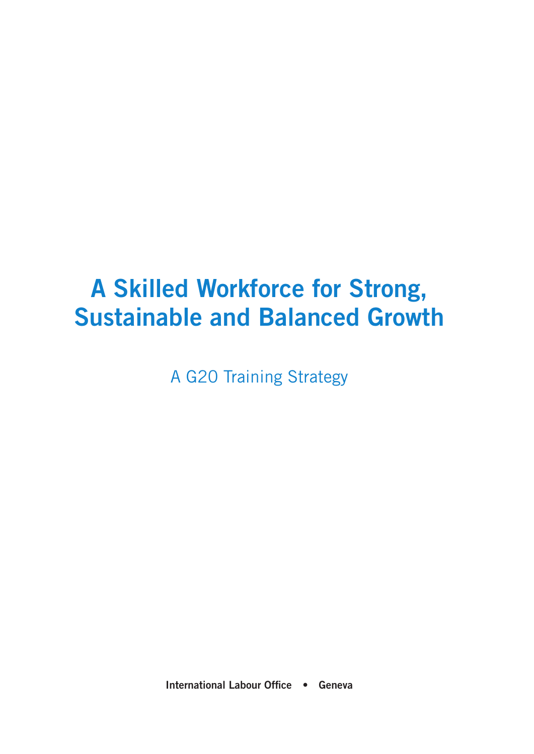## **A Skilled Workforce for Strong, Sustainable and Balanced Growth**

A G20 Training Strategy

**International Labour Office • Geneva**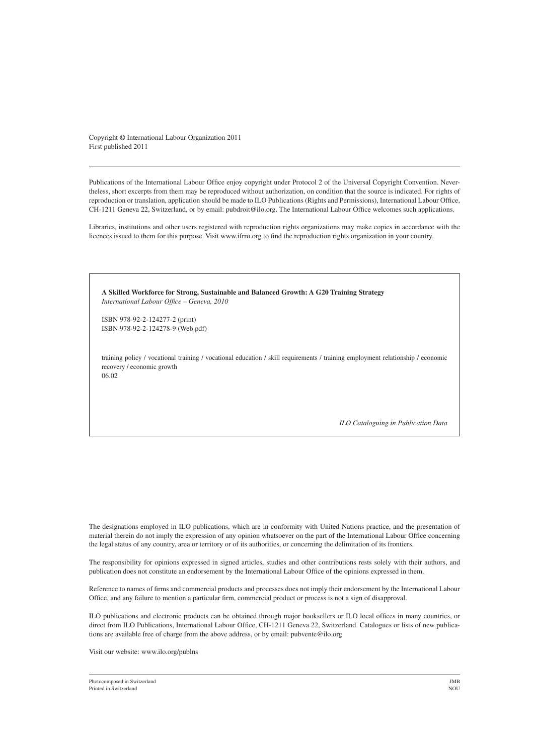Copyright © International Labour Organization 2011 First published 2011

Publications of the International Labour Office enjoy copyright under Protocol 2 of the Universal Copyright Convention. Nevertheless, short excerpts from them may be reproduced without authorization, on condition that the source is indicated. For rights of reproduction or translation, application should be made to ILO Publications (Rights and Permissions), International Labour Office, CH-1211 Geneva 22, Switzerland, or by email: pubdroit@ilo.org. The International Labour Office welcomes such applications.

Libraries, institutions and other users registered with reproduction rights organizations may make copies in accordance with the licences issued to them for this purpose. Visit www.ifrro.org to find the reproduction rights organization in your country.

**A Skilled Workforce for Strong, Sustainable and Balanced Growth: A G20 Training Strategy** *International Labour Office – Geneva, 2010* ISBN 978-92-2-124277-2 (print) ISBN 978-92-2-124278-9 (Web pdf)

training policy / vocational training / vocational education / skill requirements / training employment relationship / economic recovery / economic growth 06.02

*ILO Cataloguing in Publication Data*

The designations employed in ILO publications, which are in conformity with United Nations practice, and the presentation of material therein do not imply the expression of any opinion whatsoever on the part of the International Labour Office concerning the legal status of any country, area or territory or of its authorities, or concerning the delimitation of its frontiers.

The responsibility for opinions expressed in signed articles, studies and other contributions rests solely with their authors, and publication does not constitute an endorsement by the International Labour Office of the opinions expressed in them.

Reference to names of firms and commercial products and processes does not imply their endorsement by the International Labour Office, and any failure to mention a particular firm, commercial product or process is not a sign of disapproval.

ILO publications and electronic products can be obtained through major booksellers or ILO local offices in many countries, or direct from ILO Publications, International Labour Office, CH-1211 Geneva 22, Switzerland. Catalogues or lists of new publications are available free of charge from the above address, or by email: pubvente@ilo.org

Visit our website: www.ilo.org/publns

Photocomposed in Switzerland JMB<br>Printed in Switzerland NOU Printed in Switzerland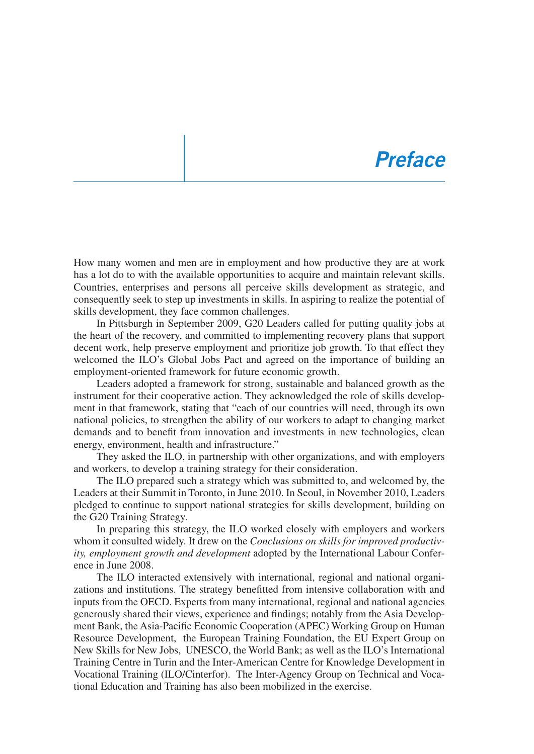### *Preface*

How many women and men are in employment and how productive they are at work has a lot do to with the available opportunities to acquire and maintain relevant skills. Countries, enterprises and persons all perceive skills development as strategic, and consequently seek to step up investments in skills. In aspiring to realize the potential of skills development, they face common challenges.

In Pittsburgh in September 2009, G20 Leaders called for putting quality jobs at the heart of the recovery, and committed to implementing recovery plans that support decent work, help preserve employment and prioritize job growth. To that effect they welcomed the ILO's Global Jobs Pact and agreed on the importance of building an employment-oriented framework for future economic growth.

Leaders adopted a framework for strong, sustainable and balanced growth as the instrument for their cooperative action. They acknowledged the role of skills development in that framework, stating that "each of our countries will need, through its own national policies, to strengthen the ability of our workers to adapt to changing market demands and to benefit from innovation and investments in new technologies, clean energy, environment, health and infrastructure."

They asked the ILO, in partnership with other organizations, and with employers and workers, to develop a training strategy for their consideration.

The ILO prepared such a strategy which was submitted to, and welcomed by, the Leaders at their Summit in Toronto, in June 2010. In Seoul, in November 2010, Leaders pledged to continue to support national strategies for skills development, building on the G20 Training Strategy.

In preparing this strategy, the ILO worked closely with employers and workers whom it consulted widely. It drew on the *Conclusions on skills for improved productivity, employment growth and development* adopted by the International Labour Conference in June 2008.

The ILO interacted extensively with international, regional and national organizations and institutions. The strategy benefitted from intensive collaboration with and inputs from the OECD. Experts from many international, regional and national agencies generously shared their views, experience and findings; notably from the Asia Development Bank, the Asia-Pacific Economic Cooperation (APEC) Working Group on Human Resource Development, the European Training Foundation, the EU Expert Group on New Skills for New Jobs, UNESCO, the World Bank; as well as the ILO's International Training Centre in Turin and the Inter-American Centre for Knowledge Development in Vocational Training (ILO/Cinterfor). The Inter-Agency Group on Technical and Vocational Education and Training has also been mobilized in the exercise.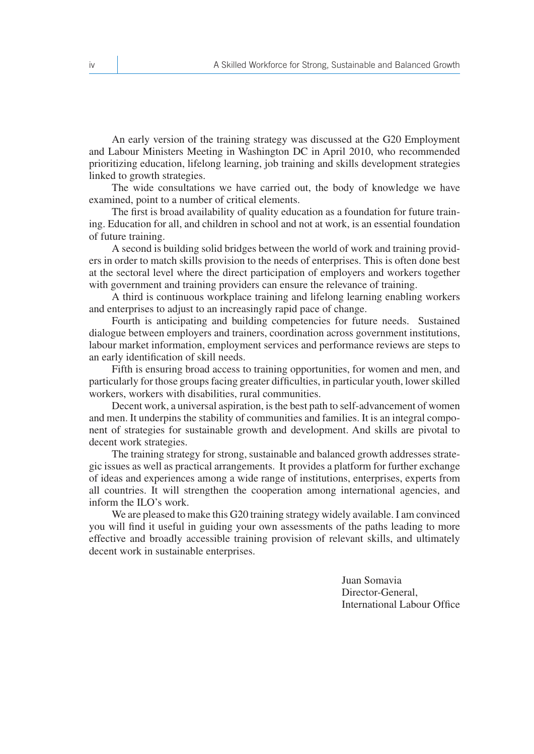An early version of the training strategy was discussed at the G20 Employment and Labour Ministers Meeting in Washington DC in April 2010, who recommended prioritizing education, lifelong learning, job training and skills development strategies linked to growth strategies.

The wide consultations we have carried out, the body of knowledge we have examined, point to a number of critical elements.

The first is broad availability of quality education as a foundation for future training. Education for all, and children in school and not at work, is an essential foundation of future training.

A second is building solid bridges between the world of work and training providers in order to match skills provision to the needs of enterprises. This is often done best at the sectoral level where the direct participation of employers and workers together with government and training providers can ensure the relevance of training.

A third is continuous workplace training and lifelong learning enabling workers and enterprises to adjust to an increasingly rapid pace of change.

Fourth is anticipating and building competencies for future needs. Sustained dialogue between employers and trainers, coordination across government institutions, labour market information, employment services and performance reviews are steps to an early identification of skill needs.

Fifth is ensuring broad access to training opportunities, for women and men, and particularly for those groups facing greater difficulties, in particular youth, lower skilled workers, workers with disabilities, rural communities.

Decent work, a universal aspiration, is the best path to self-advancement of women and men. It underpins the stability of communities and families. It is an integral component of strategies for sustainable growth and development. And skills are pivotal to decent work strategies.

The training strategy for strong, sustainable and balanced growth addresses strategic issues as well as practical arrangements. It provides a platform for further exchange of ideas and experiences among a wide range of institutions, enterprises, experts from all countries. It will strengthen the cooperation among international agencies, and inform the ILO's work.

We are pleased to make this G20 training strategy widely available. I am convinced you will find it useful in guiding your own assessments of the paths leading to more effective and broadly accessible training provision of relevant skills, and ultimately decent work in sustainable enterprises.

> Juan Somavia Director-General, International Labour Office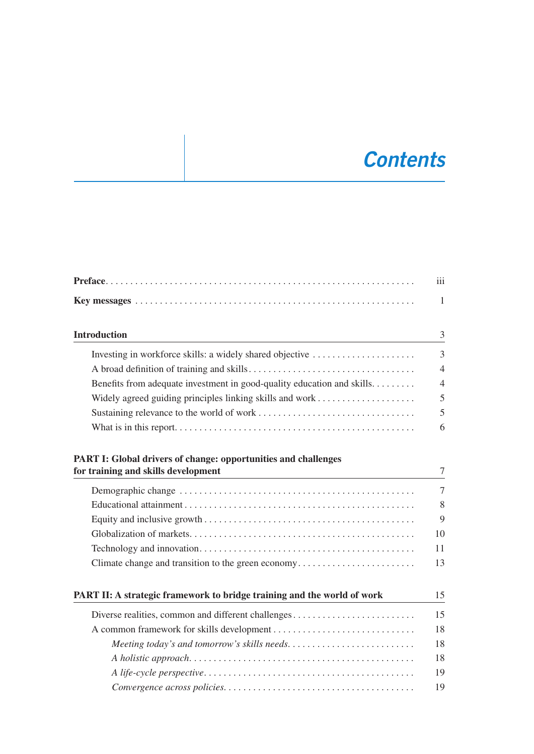### *Contents*

|                                                                                                              | iii            |
|--------------------------------------------------------------------------------------------------------------|----------------|
|                                                                                                              | $\mathbf{1}$   |
| <b>Introduction</b>                                                                                          | 3              |
| Investing in workforce skills: a widely shared objective                                                     | $\overline{3}$ |
|                                                                                                              | $\overline{4}$ |
| Benefits from adequate investment in good-quality education and skills.                                      | $\overline{4}$ |
|                                                                                                              | 5              |
|                                                                                                              | 5              |
|                                                                                                              | 6              |
| <b>PART I: Global drivers of change: opportunities and challenges</b><br>for training and skills development | $\overline{7}$ |
|                                                                                                              | $\overline{7}$ |
|                                                                                                              | 8              |
|                                                                                                              | 9              |
|                                                                                                              | 10             |
|                                                                                                              | 11             |
| Climate change and transition to the green economy                                                           | 13             |
| PART II: A strategic framework to bridge training and the world of work                                      | 15             |
| Diverse realities, common and different challenges                                                           | 15             |
|                                                                                                              | 18             |
|                                                                                                              | 18             |
|                                                                                                              | 18             |
|                                                                                                              | 19             |
|                                                                                                              | 19             |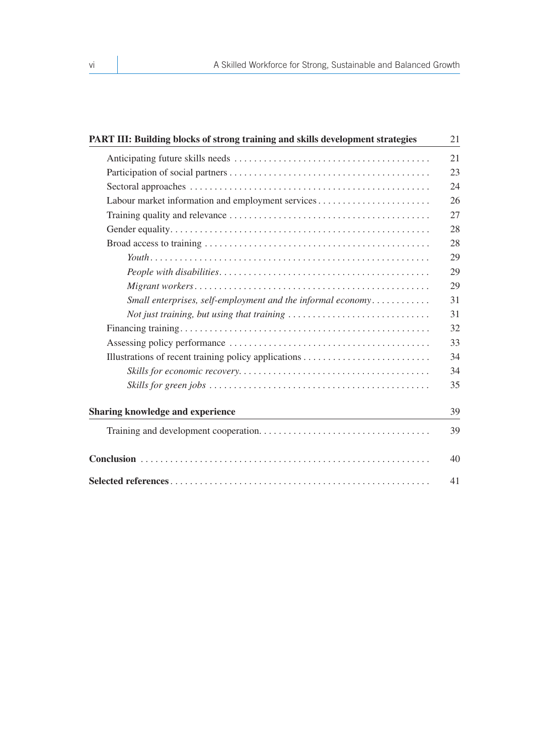| PART III: Building blocks of strong training and skills development strategies                                        | 21 |
|-----------------------------------------------------------------------------------------------------------------------|----|
|                                                                                                                       | 21 |
|                                                                                                                       | 23 |
|                                                                                                                       | 24 |
| Labour market information and employment services                                                                     | 26 |
|                                                                                                                       | 27 |
|                                                                                                                       | 28 |
|                                                                                                                       | 28 |
|                                                                                                                       | 29 |
|                                                                                                                       | 29 |
|                                                                                                                       | 29 |
| Small enterprises, self-employment and the informal economy                                                           | 31 |
| Not just training, but using that training $\ldots \ldots \ldots \ldots \ldots \ldots \ldots \ldots$                  | 31 |
|                                                                                                                       | 32 |
|                                                                                                                       | 33 |
|                                                                                                                       | 34 |
|                                                                                                                       | 34 |
|                                                                                                                       | 35 |
| <b>Sharing knowledge and experience</b><br>the control of the control of the control of the control of the control of | 39 |
|                                                                                                                       | 39 |
|                                                                                                                       | 40 |
|                                                                                                                       | 41 |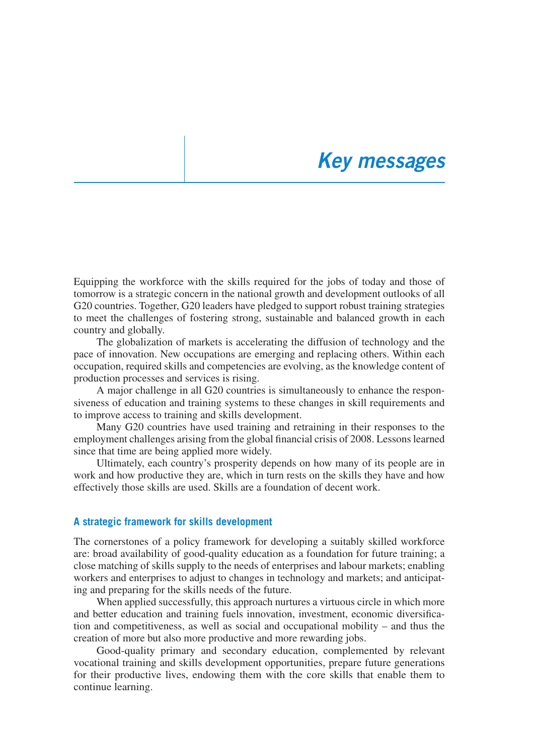### *Key messages*

Equipping the workforce with the skills required for the jobs of today and those of tomorrow is a strategic concern in the national growth and development outlooks of all G20 countries. Together, G20 leaders have pledged to support robust training strategies to meet the challenges of fostering strong, sustainable and balanced growth in each country and globally.

The globalization of markets is accelerating the diffusion of technology and the pace of innovation. New occupations are emerging and replacing others. Within each occupation, required skills and competencies are evolving, as the knowledge content of production processes and services is rising.

A major challenge in all G20 countries is simultaneously to enhance the responsiveness of education and training systems to these changes in skill requirements and to improve access to training and skills development.

Many G20 countries have used training and retraining in their responses to the employment challenges arising from the global financial crisis of 2008. Lessons learned since that time are being applied more widely.

Ultimately, each country's prosperity depends on how many of its people are in work and how productive they are, which in turn rests on the skills they have and how effectively those skills are used. Skills are a foundation of decent work.

#### **A strategic framework for skills development**

The cornerstones of a policy framework for developing a suitably skilled workforce are: broad availability of good-quality education as a foundation for future training; a close matching of skills supply to the needs of enterprises and labour markets; enabling workers and enterprises to adjust to changes in technology and markets; and anticipating and preparing for the skills needs of the future.

When applied successfully, this approach nurtures a virtuous circle in which more and better education and training fuels innovation, investment, economic diversification and competitiveness, as well as social and occupational mobility – and thus the creation of more but also more productive and more rewarding jobs.

Good-quality primary and secondary education, complemented by relevant vocational training and skills development opportunities, prepare future generations for their productive lives, endowing them with the core skills that enable them to continue learning.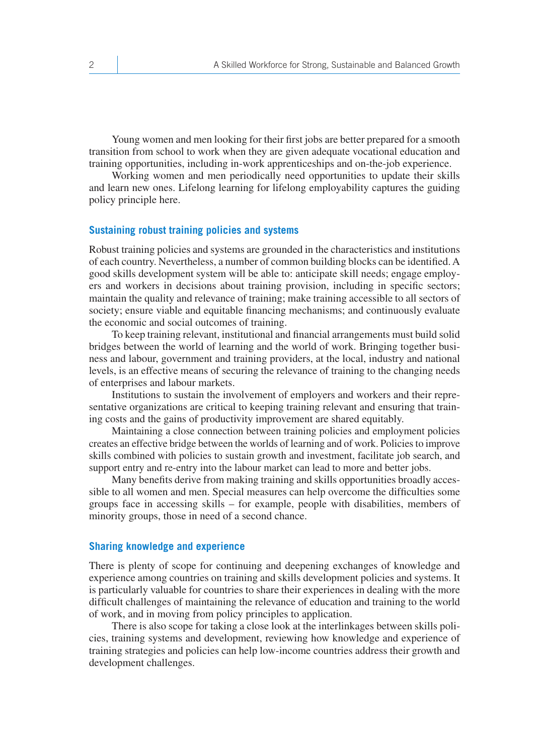Young women and men looking for their first jobs are better prepared for a smooth transition from school to work when they are given adequate vocational education and training opportunities, including in-work apprenticeships and on-the-job experience.

Working women and men periodically need opportunities to update their skills and learn new ones. Lifelong learning for lifelong employability captures the guiding policy principle here.

#### **Sustaining robust training policies and systems**

Robust training policies and systems are grounded in the characteristics and institutions of each country. Nevertheless, a number of common building blocks can be identified. A good skills development system will be able to: anticipate skill needs; engage employers and workers in decisions about training provision, including in specific sectors; maintain the quality and relevance of training; make training accessible to all sectors of society; ensure viable and equitable financing mechanisms; and continuously evaluate the economic and social outcomes of training.

To keep training relevant, institutional and financial arrangements must build solid bridges between the world of learning and the world of work. Bringing together business and labour, government and training providers, at the local, industry and national levels, is an effective means of securing the relevance of training to the changing needs of enterprises and labour markets.

Institutions to sustain the involvement of employers and workers and their representative organizations are critical to keeping training relevant and ensuring that training costs and the gains of productivity improvement are shared equitably.

Maintaining a close connection between training policies and employment policies creates an effective bridge between the worlds of learning and of work. Policies to improve skills combined with policies to sustain growth and investment, facilitate job search, and support entry and re-entry into the labour market can lead to more and better jobs.

Many benefits derive from making training and skills opportunities broadly accessible to all women and men. Special measures can help overcome the difficulties some groups face in accessing skills – for example, people with disabilities, members of minority groups, those in need of a second chance.

#### **Sharing knowledge and experience**

There is plenty of scope for continuing and deepening exchanges of knowledge and experience among countries on training and skills development policies and systems. It is particularly valuable for countries to share their experiences in dealing with the more difficult challenges of maintaining the relevance of education and training to the world of work, and in moving from policy principles to application.

There is also scope for taking a close look at the interlinkages between skills policies, training systems and development, reviewing how knowledge and experience of training strategies and policies can help low-income countries address their growth and development challenges.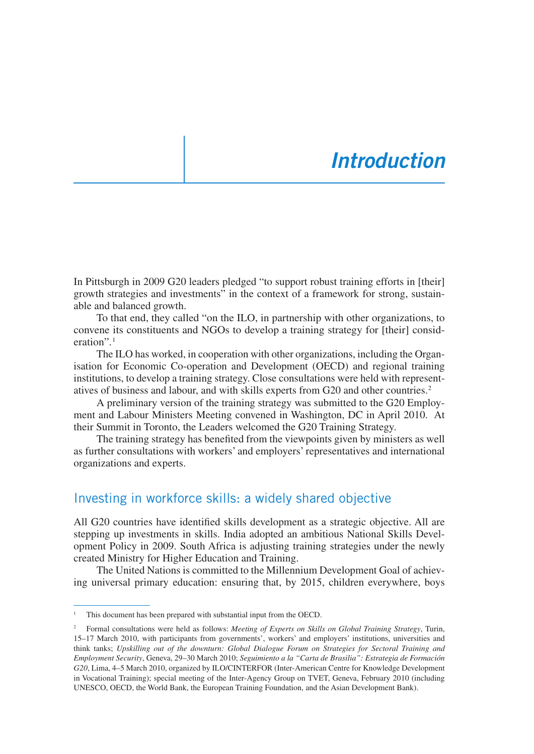### *Introduction*

In Pittsburgh in 2009 G20 leaders pledged "to support robust training efforts in [their] growth strategies and investments" in the context of a framework for strong, sustainable and balanced growth.

To that end, they called "on the ILO, in partnership with other organizations, to convene its constituents and NGOs to develop a training strategy for [their] consideration".1

The ILO has worked, in cooperation with other organizations, including the Organisation for Economic Co-operation and Development (OECD) and regional training institutions, to develop a training strategy. Close consultations were held with representatives of business and labour, and with skills experts from G20 and other countries.2

A preliminary version of the training strategy was submitted to the G20 Employment and Labour Ministers Meeting convened in Washington, DC in April 2010. At their Summit in Toronto, the Leaders welcomed the G20 Training Strategy.

The training strategy has benefited from the viewpoints given by ministers as well as further consultations with workers' and employers' representatives and international organizations and experts.

#### Investing in workforce skills: a widely shared objective

All G20 countries have identified skills development as a strategic objective. All are stepping up investments in skills. India adopted an ambitious National Skills Development Policy in 2009. South Africa is adjusting training strategies under the newly created Ministry for Higher Education and Training.

The United Nations is committed to the Millennium Development Goal of achieving universal primary education: ensuring that, by 2015, children everywhere, boys

This document has been prepared with substantial input from the OECD.

<sup>2</sup> Formal consultations were held as follows: *Meeting of Experts on Skills on Global Training Strategy*, Turin, 15–17 March 2010, with participants from governments', workers' and employers' institutions, universities and think tanks; *Upskilling out of the downturn: Global Dialogue Forum on Strategies for Sectoral Training and Employment Security*, Geneva, 29–30 March 2010; *Seguimiento a la "Carta de Brasilia": Estrategia de Formación G20*, Lima, 4–5 March 2010, organized by ILO/CINTERFOR (Inter-American Centre for Knowledge Development in Vocational Training); special meeting of the Inter-Agency Group on TVET, Geneva, February 2010 (including UNESCO, OECD, the World Bank, the European Training Foundation, and the Asian Development Bank).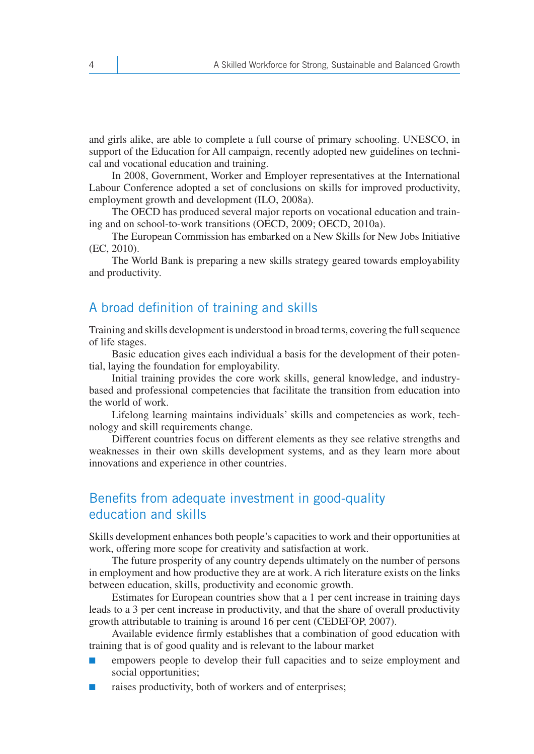and girls alike, are able to complete a full course of primary schooling. UNESCO, in support of the Education for All campaign, recently adopted new guidelines on technical and vocational education and training.

In 2008, Government, Worker and Employer representatives at the International Labour Conference adopted a set of conclusions on skills for improved productivity, employment growth and development (ILO, 2008a).

The OECD has produced several major reports on vocational education and training and on school-to-work transitions (OECD, 2009; OECD, 2010a).

The European Commission has embarked on a New Skills for New Jobs Initiative (EC, 2010).

The World Bank is preparing a new skills strategy geared towards employability and productivity.

#### A broad definition of training and skills

Training and skills development is understood in broad terms, covering the full sequence of life stages.

Basic education gives each individual a basis for the development of their potential, laying the foundation for employability.

Initial training provides the core work skills, general knowledge, and industrybased and professional competencies that facilitate the transition from education into the world of work.

Lifelong learning maintains individuals' skills and competencies as work, technology and skill requirements change.

Different countries focus on different elements as they see relative strengths and weaknesses in their own skills development systems, and as they learn more about innovations and experience in other countries.

### Benefits from adequate investment in good-quality education and skills

Skills development enhances both people's capacities to work and their opportunities at work, offering more scope for creativity and satisfaction at work.

The future prosperity of any country depends ultimately on the number of persons in employment and how productive they are at work. A rich literature exists on the links between education, skills, productivity and economic growth.

Estimates for European countries show that a 1 per cent increase in training days leads to a 3 per cent increase in productivity, and that the share of overall productivity growth attributable to training is around 16 per cent (CEDEFOP, 2007).

Available evidence firmly establishes that a combination of good education with training that is of good quality and is relevant to the labour market

- empowers people to develop their full capacities and to seize employment and social opportunities;
- raises productivity, both of workers and of enterprises;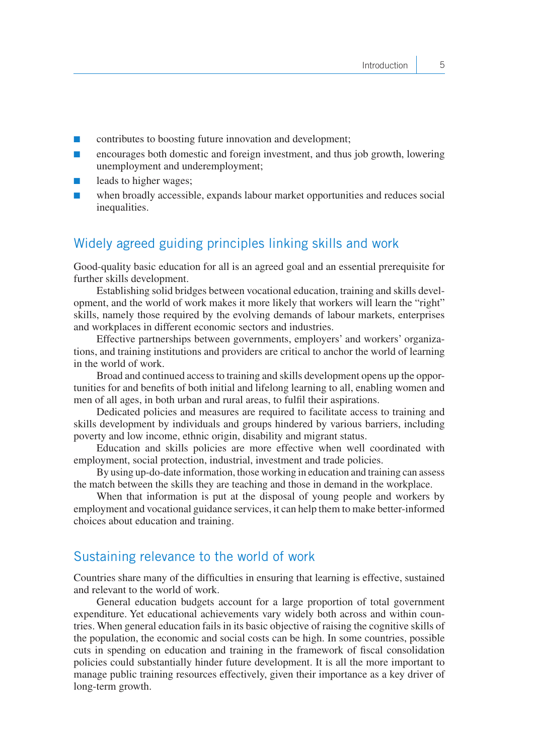- contributes to boosting future innovation and development;
- encourages both domestic and foreign investment, and thus job growth, lowering unemployment and underemployment;
- leads to higher wages;
- when broadly accessible, expands labour market opportunities and reduces social inequalities.

#### Widely agreed guiding principles linking skills and work

Good-quality basic education for all is an agreed goal and an essential prerequisite for further skills development.

Establishing solid bridges between vocational education, training and skills development, and the world of work makes it more likely that workers will learn the "right" skills, namely those required by the evolving demands of labour markets, enterprises and workplaces in different economic sectors and industries.

Effective partnerships between governments, employers' and workers' organizations, and training institutions and providers are critical to anchor the world of learning in the world of work.

Broad and continued access to training and skills development opens up the opportunities for and benefits of both initial and lifelong learning to all, enabling women and men of all ages, in both urban and rural areas, to fulfil their aspirations.

Dedicated policies and measures are required to facilitate access to training and skills development by individuals and groups hindered by various barriers, including poverty and low income, ethnic origin, disability and migrant status.

Education and skills policies are more effective when well coordinated with employment, social protection, industrial, investment and trade policies.

By using up-do-date information, those working in education and training can assess the match between the skills they are teaching and those in demand in the workplace.

When that information is put at the disposal of young people and workers by employment and vocational guidance services, it can help them to make better-informed choices about education and training.

#### Sustaining relevance to the world of work

Countries share many of the difficulties in ensuring that learning is effective, sustained and relevant to the world of work.

General education budgets account for a large proportion of total government expenditure. Yet educational achievements vary widely both across and within countries. When general education fails in its basic objective of raising the cognitive skills of the population, the economic and social costs can be high. In some countries, possible cuts in spending on education and training in the framework of fiscal consolidation policies could substantially hinder future development. It is all the more important to manage public training resources effectively, given their importance as a key driver of long-term growth.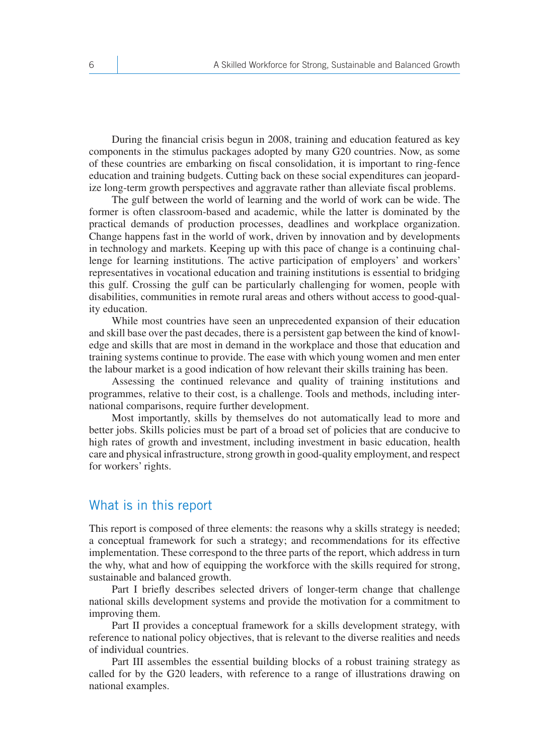During the financial crisis begun in 2008, training and education featured as key components in the stimulus packages adopted by many G20 countries. Now, as some of these countries are embarking on fiscal consolidation, it is important to ring-fence education and training budgets. Cutting back on these social expenditures can jeopardize long-term growth perspectives and aggravate rather than alleviate fiscal problems.

The gulf between the world of learning and the world of work can be wide. The former is often classroom-based and academic, while the latter is dominated by the practical demands of production processes, deadlines and workplace organization. Change happens fast in the world of work, driven by innovation and by developments in technology and markets. Keeping up with this pace of change is a continuing challenge for learning institutions. The active participation of employers' and workers' representatives in vocational education and training institutions is essential to bridging this gulf. Crossing the gulf can be particularly challenging for women, people with disabilities, communities in remote rural areas and others without access to good-quality education.

While most countries have seen an unprecedented expansion of their education and skill base over the past decades, there is a persistent gap between the kind of knowledge and skills that are most in demand in the workplace and those that education and training systems continue to provide. The ease with which young women and men enter the labour market is a good indication of how relevant their skills training has been.

Assessing the continued relevance and quality of training institutions and programmes, relative to their cost, is a challenge. Tools and methods, including international comparisons, require further development.

Most importantly, skills by themselves do not automatically lead to more and better jobs. Skills policies must be part of a broad set of policies that are conducive to high rates of growth and investment, including investment in basic education, health care and physical infrastructure, strong growth in good-quality employment, and respect for workers' rights.

#### What is in this report

This report is composed of three elements: the reasons why a skills strategy is needed; a conceptual framework for such a strategy; and recommendations for its effective implementation. These correspond to the three parts of the report, which address in turn the why, what and how of equipping the workforce with the skills required for strong, sustainable and balanced growth.

Part I briefly describes selected drivers of longer-term change that challenge national skills development systems and provide the motivation for a commitment to improving them.

Part II provides a conceptual framework for a skills development strategy, with reference to national policy objectives, that is relevant to the diverse realities and needs of individual countries.

Part III assembles the essential building blocks of a robust training strategy as called for by the G20 leaders, with reference to a range of illustrations drawing on national examples.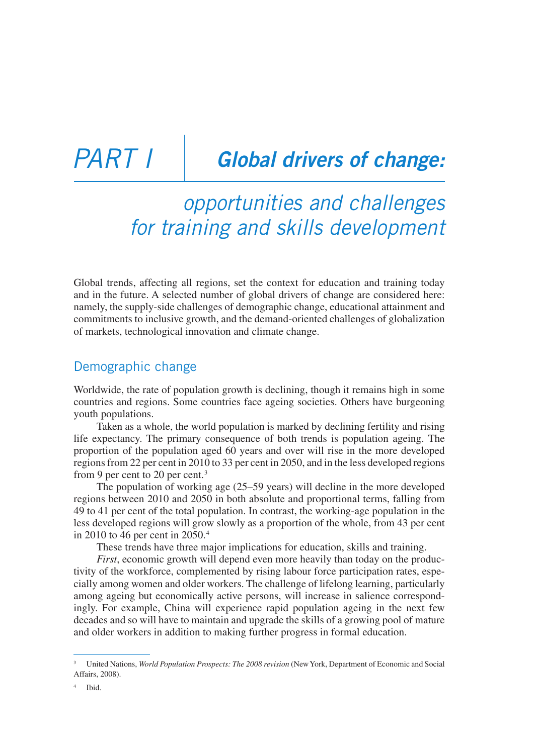## PART *i* **Global drivers of change:**

### *opportunities and challenges for training and skills development*

Global trends, affecting all regions, set the context for education and training today and in the future. A selected number of global drivers of change are considered here: namely, the supply-side challenges of demographic change, educational attainment and commitments to inclusive growth, and the demand-oriented challenges of globalization of markets, technological innovation and climate change.

#### Demographic change

Worldwide, the rate of population growth is declining, though it remains high in some countries and regions. Some countries face ageing societies. Others have burgeoning youth populations.

Taken as a whole, the world population is marked by declining fertility and rising life expectancy. The primary consequence of both trends is population ageing. The proportion of the population aged 60 years and over will rise in the more developed regions from 22 per cent in 2010 to 33 per cent in 2050, and in the less developed regions from 9 per cent to 20 per cent.<sup>3</sup>

The population of working age (25–59 years) will decline in the more developed regions between 2010 and 2050 in both absolute and proportional terms, falling from 49 to 41 per cent of the total population. In contrast, the working-age population in the less developed regions will grow slowly as a proportion of the whole, from 43 per cent in 2010 to 46 per cent in 2050.4

These trends have three major implications for education, skills and training.

*First*, economic growth will depend even more heavily than today on the productivity of the workforce, complemented by rising labour force participation rates, especially among women and older workers. The challenge of lifelong learning, particularly among ageing but economically active persons, will increase in salience correspondingly. For example, China will experience rapid population ageing in the next few decades and so will have to maintain and upgrade the skills of a growing pool of mature and older workers in addition to making further progress in formal education.

<sup>3</sup> United Nations, *World Population Prospects: The 2008 revision* (New York, Department of Economic and Social Affairs, 2008).

Ibid.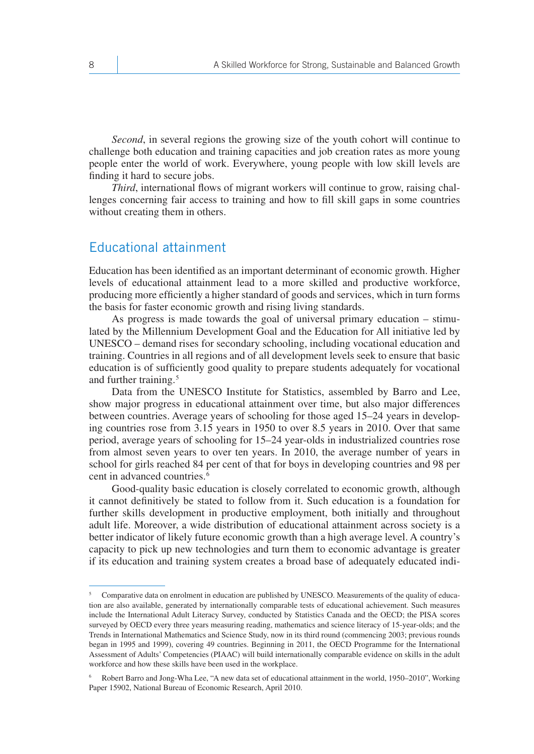*Second*, in several regions the growing size of the youth cohort will continue to challenge both education and training capacities and job creation rates as more young people enter the world of work. Everywhere, young people with low skill levels are finding it hard to secure jobs.

*Third*, international flows of migrant workers will continue to grow, raising challenges concerning fair access to training and how to fill skill gaps in some countries without creating them in others.

#### Educational attainment

Education has been identified as an important determinant of economic growth. Higher levels of educational attainment lead to a more skilled and productive workforce, producing more efficiently a higher standard of goods and services, which in turn forms the basis for faster economic growth and rising living standards.

As progress is made towards the goal of universal primary education – stimulated by the Millennium Development Goal and the Education for All initiative led by UNESCO – demand rises for secondary schooling, including vocational education and training. Countries in all regions and of all development levels seek to ensure that basic education is of sufficiently good quality to prepare students adequately for vocational and further training.5

Data from the UNESCO Institute for Statistics, assembled by Barro and Lee, show major progress in educational attainment over time, but also major differences between countries. Average years of schooling for those aged 15–24 years in developing countries rose from 3.15 years in 1950 to over 8.5 years in 2010. Over that same period, average years of schooling for 15–24 year-olds in industrialized countries rose from almost seven years to over ten years. In 2010, the average number of years in school for girls reached 84 per cent of that for boys in developing countries and 98 per cent in advanced countries.<sup>6</sup>

Good-quality basic education is closely correlated to economic growth, although it cannot definitively be stated to follow from it. Such education is a foundation for further skills development in productive employment, both initially and throughout adult life. Moreover, a wide distribution of educational attainment across society is a better indicator of likely future economic growth than a high average level. A country's capacity to pick up new technologies and turn them to economic advantage is greater if its education and training system creates a broad base of adequately educated indi-

<sup>&</sup>lt;sup>5</sup> Comparative data on enrolment in education are published by UNESCO. Measurements of the quality of education are also available, generated by internationally comparable tests of educational achievement. Such measures include the International Adult Literacy Survey, conducted by Statistics Canada and the OECD; the PISA scores surveyed by OECD every three years measuring reading, mathematics and science literacy of 15-year-olds; and the Trends in International Mathematics and Science Study, now in its third round (commencing 2003; previous rounds began in 1995 and 1999), covering 49 countries. Beginning in 2011, the OECD Programme for the International Assessment of Adults' Competencies (PIAAC) will build internationally comparable evidence on skills in the adult workforce and how these skills have been used in the workplace.

<sup>6</sup> Robert Barro and Jong-Wha Lee, "A new data set of educational attainment in the world, 1950–2010", Working Paper 15902, National Bureau of Economic Research, April 2010.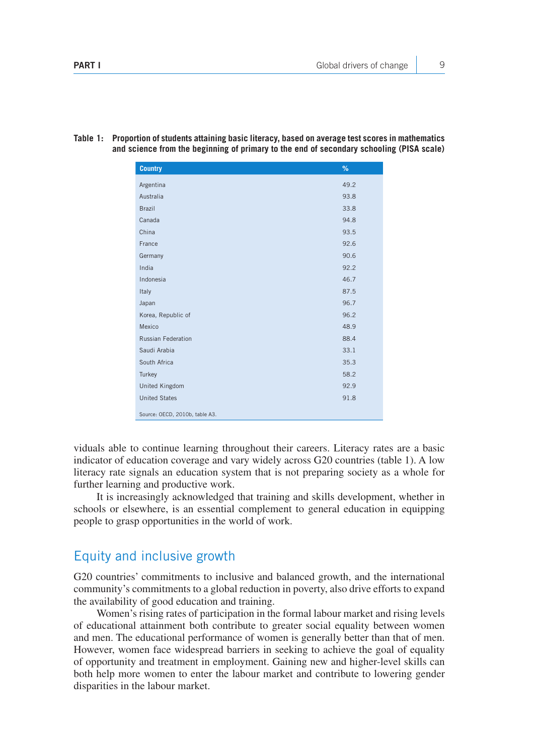| <b>Country</b>                 | %    |
|--------------------------------|------|
| Argentina                      | 49.2 |
| Australia                      | 93.8 |
| <b>Brazil</b>                  | 33.8 |
| Canada                         | 94.8 |
| China                          | 93.5 |
| France                         | 92.6 |
| Germany                        | 90.6 |
| India                          | 92.2 |
| Indonesia                      | 46.7 |
| Italy                          | 87.5 |
| Japan                          | 96.7 |
| Korea, Republic of             | 96.2 |
| Mexico                         | 48.9 |
| <b>Russian Federation</b>      | 88.4 |
| Saudi Arabia                   | 33.1 |
| South Africa                   | 35.3 |
| Turkey                         | 58.2 |
| <b>United Kingdom</b>          | 92.9 |
| <b>United States</b>           | 91.8 |
| Source: OECD, 2010b, table A3. |      |

**Table 1: Proportion of students attaining basic literacy, based on average test scores in mathematics and science from the beginning of primary to the end of secondary schooling (PISA scale)**

viduals able to continue learning throughout their careers. Literacy rates are a basic indicator of education coverage and vary widely across G20 countries (table 1). A low literacy rate signals an education system that is not preparing society as a whole for further learning and productive work.

It is increasingly acknowledged that training and skills development, whether in schools or elsewhere, is an essential complement to general education in equipping people to grasp opportunities in the world of work.

#### Equity and inclusive growth

G20 countries' commitments to inclusive and balanced growth, and the international community's commitments to a global reduction in poverty, also drive efforts to expand the availability of good education and training.

Women's rising rates of participation in the formal labour market and rising levels of educational attainment both contribute to greater social equality between women and men. The educational performance of women is generally better than that of men. However, women face widespread barriers in seeking to achieve the goal of equality of opportunity and treatment in employment. Gaining new and higher-level skills can both help more women to enter the labour market and contribute to lowering gender disparities in the labour market.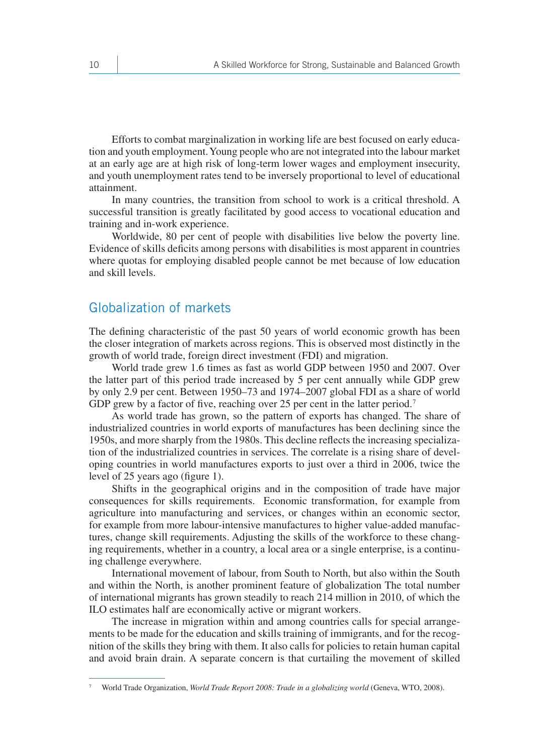Efforts to combat marginalization in working life are best focused on early education and youth employment. Young people who are not integrated into the labour market at an early age are at high risk of long-term lower wages and employment insecurity, and youth unemployment rates tend to be inversely proportional to level of educational attainment.

In many countries, the transition from school to work is a critical threshold. A successful transition is greatly facilitated by good access to vocational education and training and in-work experience.

Worldwide, 80 per cent of people with disabilities live below the poverty line. Evidence of skills deficits among persons with disabilities is most apparent in countries where quotas for employing disabled people cannot be met because of low education and skill levels.

#### Globalization of markets

The defining characteristic of the past 50 years of world economic growth has been the closer integration of markets across regions. This is observed most distinctly in the growth of world trade, foreign direct investment (FDI) and migration.

World trade grew 1.6 times as fast as world GDP between 1950 and 2007. Over the latter part of this period trade increased by 5 per cent annually while GDP grew by only 2.9 per cent. Between 1950–73 and 1974–2007 global FDI as a share of world GDP grew by a factor of five, reaching over 25 per cent in the latter period.<sup>7</sup>

As world trade has grown, so the pattern of exports has changed. The share of industrialized countries in world exports of manufactures has been declining since the 1950s, and more sharply from the 1980s. This decline reflects the increasing specialization of the industrialized countries in services. The correlate is a rising share of developing countries in world manufactures exports to just over a third in 2006, twice the level of 25 years ago (figure 1).

Shifts in the geographical origins and in the composition of trade have major consequences for skills requirements. Economic transformation, for example from agriculture into manufacturing and services, or changes within an economic sector, for example from more labour-intensive manufactures to higher value-added manufactures, change skill requirements. Adjusting the skills of the workforce to these changing requirements, whether in a country, a local area or a single enterprise, is a continuing challenge everywhere.

International movement of labour, from South to North, but also within the South and within the North, is another prominent feature of globalization The total number of international migrants has grown steadily to reach 214 million in 2010, of which the ILO estimates half are economically active or migrant workers.

The increase in migration within and among countries calls for special arrangements to be made for the education and skills training of immigrants, and for the recognition of the skills they bring with them. It also calls for policies to retain human capital and avoid brain drain. A separate concern is that curtailing the movement of skilled

<sup>7</sup> World Trade Organization, *World Trade Report 2008: Trade in a globalizing world* (Geneva, WTO, 2008).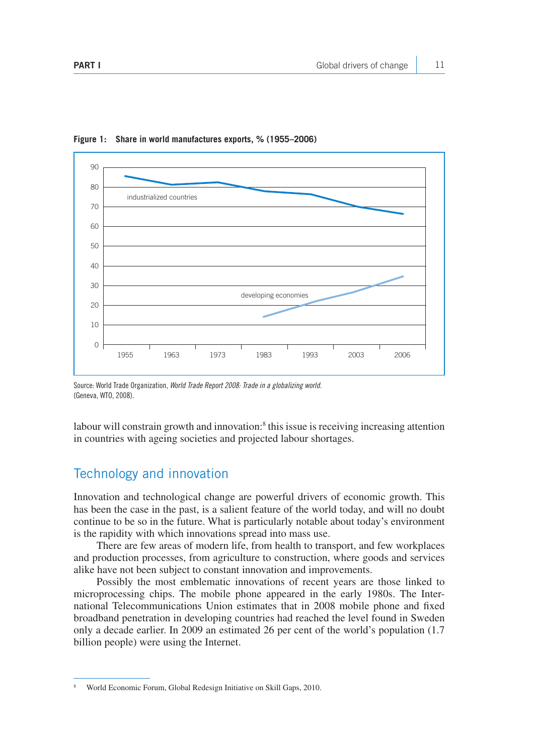

**Figure 1: Share in world manufactures exports, % (1955–2006)**

Source: World Trade Organization, *World Trade Report 2008: Trade in a globalizing world.* (Geneva, WTO, 2008).

labour will constrain growth and innovation:<sup>8</sup> this issue is receiving increasing attention in countries with ageing societies and projected labour shortages.

#### Technology and innovation

Innovation and technological change are powerful drivers of economic growth. This has been the case in the past, is a salient feature of the world today, and will no doubt continue to be so in the future. What is particularly notable about today's environment is the rapidity with which innovations spread into mass use.

There are few areas of modern life, from health to transport, and few workplaces and production processes, from agriculture to construction, where goods and services alike have not been subject to constant innovation and improvements.

Possibly the most emblematic innovations of recent years are those linked to microprocessing chips. The mobile phone appeared in the early 1980s. The International Telecommunications Union estimates that in 2008 mobile phone and fixed broadband penetration in developing countries had reached the level found in Sweden only a decade earlier. In 2009 an estimated 26 per cent of the world's population (1.7 billion people) were using the Internet.

<sup>8</sup> World Economic Forum, Global Redesign Initiative on Skill Gaps, 2010.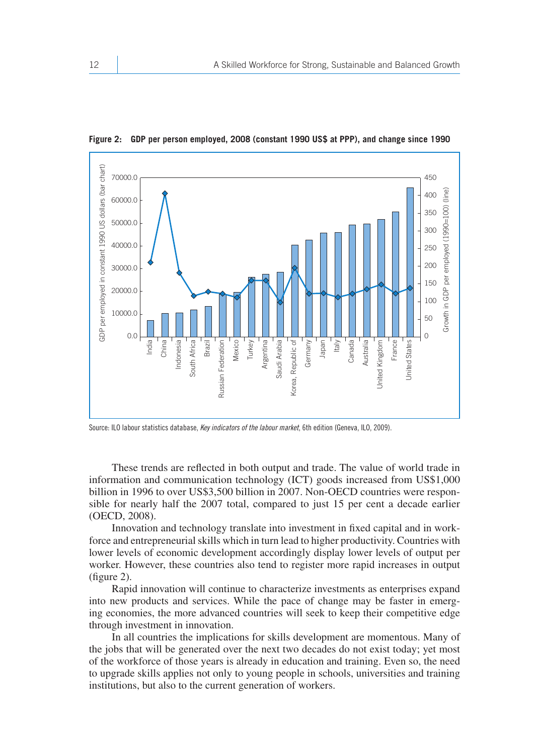

**Figure 2: GDP per person employed, 2008 (constant 1990 US\$ at PPP), and change since 1990** 

Source: ILO labour statistics database, *Key indicators of the labour market*, 6th edition (Geneva, ILO, 2009).

These trends are reflected in both output and trade. The value of world trade in information and communication technology (ICT) goods increased from US\$1,000 billion in 1996 to over US\$3,500 billion in 2007. Non-OECD countries were responsible for nearly half the 2007 total, compared to just 15 per cent a decade earlier (OECD, 2008).

Innovation and technology translate into investment in fixed capital and in workforce and entrepreneurial skills which in turn lead to higher productivity. Countries with lower levels of economic development accordingly display lower levels of output per worker. However, these countries also tend to register more rapid increases in output (figure 2).

Rapid innovation will continue to characterize investments as enterprises expand into new products and services. While the pace of change may be faster in emerging economies, the more advanced countries will seek to keep their competitive edge through investment in innovation.

In all countries the implications for skills development are momentous. Many of the jobs that will be generated over the next two decades do not exist today; yet most of the workforce of those years is already in education and training. Even so, the need to upgrade skills applies not only to young people in schools, universities and training institutions, but also to the current generation of workers.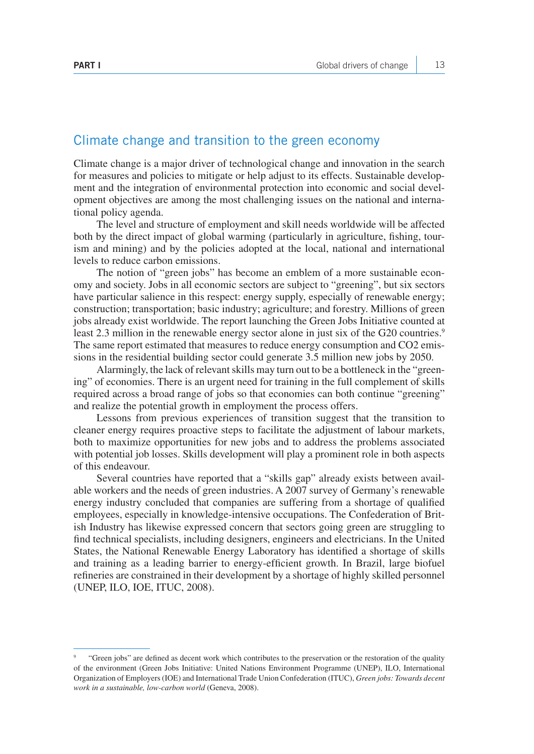#### Climate change and transition to the green economy

Climate change is a major driver of technological change and innovation in the search for measures and policies to mitigate or help adjust to its effects. Sustainable development and the integration of environmental protection into economic and social development objectives are among the most challenging issues on the national and international policy agenda.

The level and structure of employment and skill needs worldwide will be affected both by the direct impact of global warming (particularly in agriculture, fishing, tourism and mining) and by the policies adopted at the local, national and international levels to reduce carbon emissions.

The notion of "green jobs" has become an emblem of a more sustainable economy and society. Jobs in all economic sectors are subject to "greening", but six sectors have particular salience in this respect: energy supply, especially of renewable energy; construction; transportation; basic industry; agriculture; and forestry. Millions of green jobs already exist worldwide. The report launching the Green Jobs Initiative counted at least 2.3 million in the renewable energy sector alone in just six of the G20 countries.<sup>9</sup> The same report estimated that measures to reduce energy consumption and CO2 emissions in the residential building sector could generate 3.5 million new jobs by 2050.

Alarmingly, the lack of relevant skills may turn out to be a bottleneck in the "greening" of economies. There is an urgent need for training in the full complement of skills required across a broad range of jobs so that economies can both continue "greening" and realize the potential growth in employment the process offers.

Lessons from previous experiences of transition suggest that the transition to cleaner energy requires proactive steps to facilitate the adjustment of labour markets, both to maximize opportunities for new jobs and to address the problems associated with potential job losses. Skills development will play a prominent role in both aspects of this endeavour.

Several countries have reported that a "skills gap" already exists between available workers and the needs of green industries. A 2007 survey of Germany's renewable energy industry concluded that companies are suffering from a shortage of qualified employees, especially in knowledge-intensive occupations. The Confederation of British Industry has likewise expressed concern that sectors going green are struggling to find technical specialists, including designers, engineers and electricians. In the United States, the National Renewable Energy Laboratory has identified a shortage of skills and training as a leading barrier to energy-efficient growth. In Brazil, large biofuel refineries are constrained in their development by a shortage of highly skilled personnel (UNEP, ILO, IOE, ITUC, 2008).

<sup>9 &</sup>quot;Green jobs" are defined as decent work which contributes to the preservation or the restoration of the quality of the environment (Green Jobs Initiative: United Nations Environment Programme (UNEP), ILO, International Organization of Employers (IOE) and International Trade Union Confederation (ITUC), *Green jobs: Towards decent work in a sustainable, low-carbon world* (Geneva, 2008).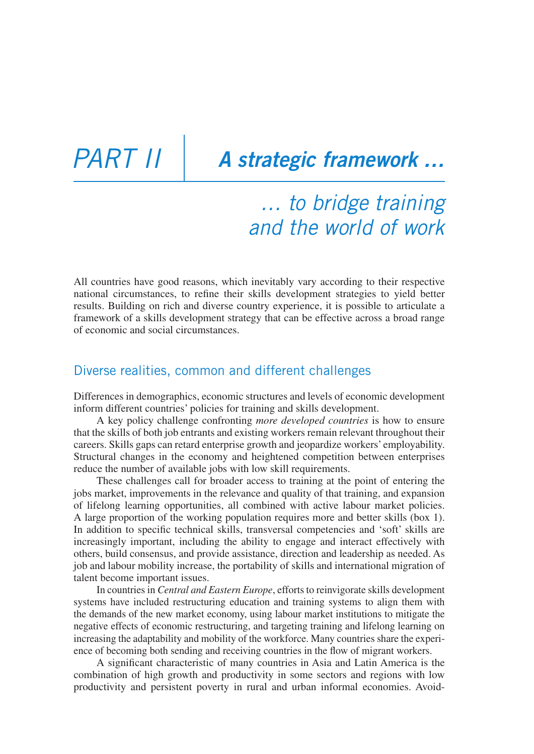## *Part iI A strategic framework …*

### *… to bridge training and the world of work*

All countries have good reasons, which inevitably vary according to their respective national circumstances, to refine their skills development strategies to yield better results. Building on rich and diverse country experience, it is possible to articulate a framework of a skills development strategy that can be effective across a broad range of economic and social circumstances.

### Diverse realities, common and different challenges

Differences in demographics, economic structures and levels of economic development inform different countries' policies for training and skills development.

A key policy challenge confronting *more developed countries* is how to ensure that the skills of both job entrants and existing workers remain relevant throughout their careers. Skills gaps can retard enterprise growth and jeopardize workers' employability. Structural changes in the economy and heightened competition between enterprises reduce the number of available jobs with low skill requirements.

These challenges call for broader access to training at the point of entering the jobs market, improvements in the relevance and quality of that training, and expansion of lifelong learning opportunities, all combined with active labour market policies. A large proportion of the working population requires more and better skills (box 1). In addition to specific technical skills, transversal competencies and 'soft' skills are increasingly important, including the ability to engage and interact effectively with others, build consensus, and provide assistance, direction and leadership as needed. As job and labour mobility increase, the portability of skills and international migration of talent become important issues.

In countries in *Central and Eastern Europe*, efforts to reinvigorate skills development systems have included restructuring education and training systems to align them with the demands of the new market economy, using labour market institutions to mitigate the negative effects of economic restructuring, and targeting training and lifelong learning on increasing the adaptability and mobility of the workforce. Many countries share the experience of becoming both sending and receiving countries in the flow of migrant workers.

A significant characteristic of many countries in Asia and Latin America is the combination of high growth and productivity in some sectors and regions with low productivity and persistent poverty in rural and urban informal economies. Avoid-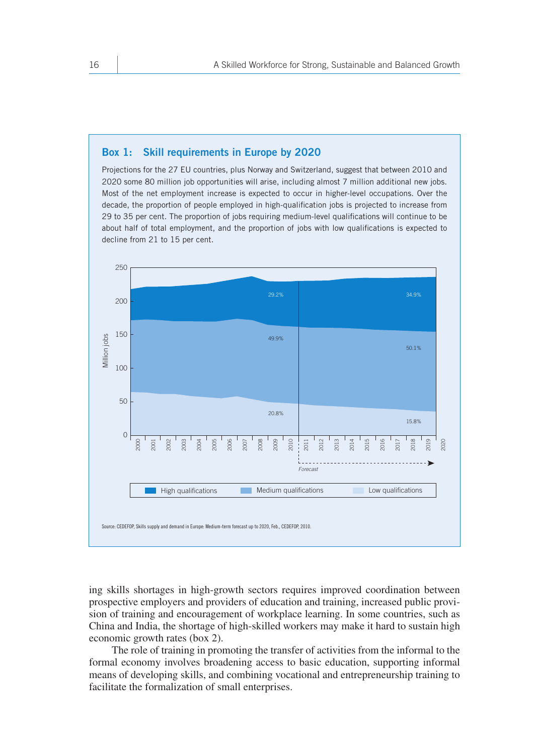#### **Box 1: Skill requirements in Europe by 2020**

Projections for the 27 EU countries, plus Norway and Switzerland, suggest that between 2010 and 2020 some 80 million job opportunities will arise, including almost 7 million additional new jobs. Most of the net employment increase is expected to occur in higher-level occupations. Over the decade, the proportion of people employed in high-qualification jobs is projected to increase from 29 to 35 per cent. The proportion of jobs requiring medium-level qualifications will continue to be about half of total employment, and the proportion of jobs with low qualifications is expected to decline from 21 to 15 per cent.



ing skills shortages in high-growth sectors requires improved coordination between prospective employers and providers of education and training, increased public provision of training and encouragement of workplace learning. In some countries, such as China and India, the shortage of high-skilled workers may make it hard to sustain high economic growth rates (box 2).

The role of training in promoting the transfer of activities from the informal to the formal economy involves broadening access to basic education, supporting informal means of developing skills, and combining vocational and entrepreneurship training to facilitate the formalization of small enterprises.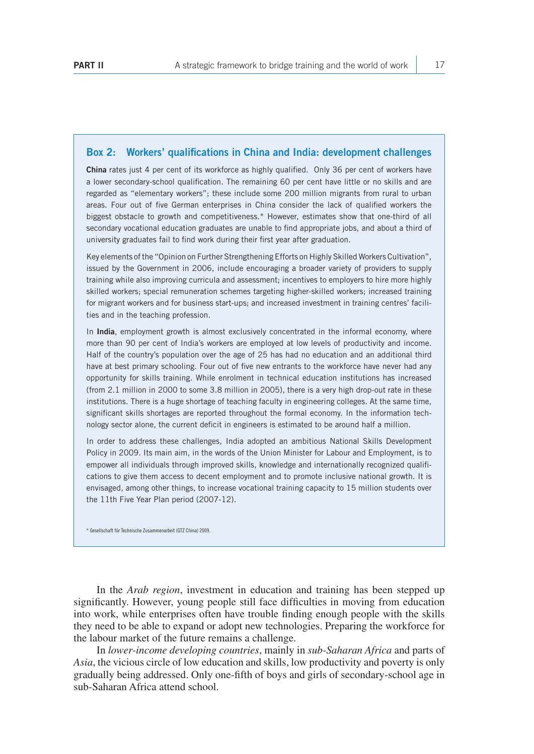#### **Box 2: Workers' qualifications in China and India: development challenges**

**China** rates just 4 per cent of its workforce as highly qualified. Only 36 per cent of workers have a lower secondary-school qualification. The remaining 60 per cent have little or no skills and are regarded as "elementary workers"; these include some 200 million migrants from rural to urban areas. Four out of five German enterprises in China consider the lack of qualified workers the biggest obstacle to growth and competitiveness.\* However, estimates show that one-third of all secondary vocational education graduates are unable to find appropriate jobs, and about a third of university graduates fail to find work during their first year after graduation.

Key elements of the "Opinion on Further Strengthening Efforts on Highly Skilled Workers Cultivation", issued by the Government in 2006, include encouraging a broader variety of providers to supply training while also improving curricula and assessment; incentives to employers to hire more highly skilled workers; special remuneration schemes targeting higher-skilled workers; increased training for migrant workers and for business start-ups; and increased investment in training centres' facilities and in the teaching profession.

In **India**, employment growth is almost exclusively concentrated in the informal economy, where more than 90 per cent of India's workers are employed at low levels of productivity and income. Half of the country's population over the age of 25 has had no education and an additional third have at best primary schooling. Four out of five new entrants to the workforce have never had any opportunity for skills training. While enrolment in technical education institutions has increased (from 2.1 million in 2000 to some 3.8 million in 2005), there is a very high drop-out rate in these institutions. There is a huge shortage of teaching faculty in engineering colleges. At the same time, significant skills shortages are reported throughout the formal economy. In the information technology sector alone, the current deficit in engineers is estimated to be around half a million.

In order to address these challenges, India adopted an ambitious National Skills Development Policy in 2009. Its main aim, in the words of the Union Minister for Labour and Employment, is to empower all individuals through improved skills, knowledge and internationally recognized qualifications to give them access to decent employment and to promote inclusive national growth. It is envisaged, among other things, to increase vocational training capacity to 15 million students over the 11th Five Year Plan period (2007-12).

\* Gesellschaft für Technische Zusammenarbeit (GTZ China) 2009.

In the *Arab region*, investment in education and training has been stepped up significantly. However, young people still face difficulties in moving from education into work, while enterprises often have trouble finding enough people with the skills they need to be able to expand or adopt new technologies. Preparing the workforce for the labour market of the future remains a challenge.

In *lower-income developing countries*, mainly in *sub-Saharan Africa* and parts of *Asia*, the vicious circle of low education and skills, low productivity and poverty is only gradually being addressed. Only one-fifth of boys and girls of secondary-school age in sub-Saharan Africa attend school.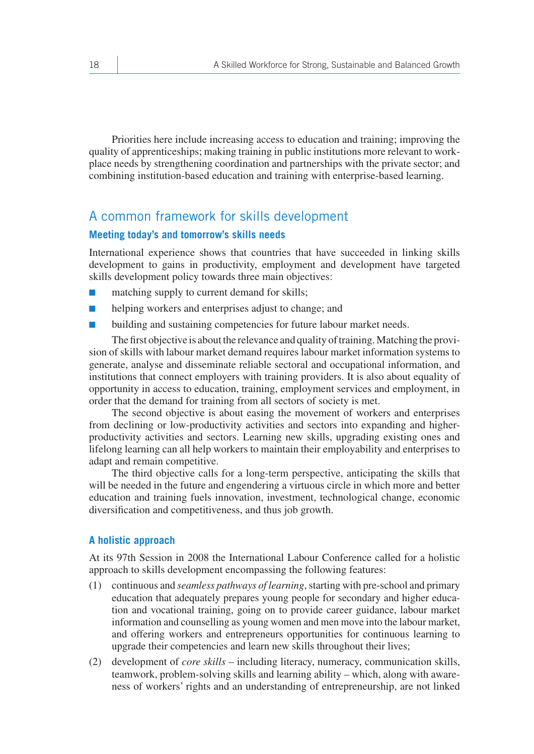Priorities here include increasing access to education and training; improving the quality of apprenticeships; making training in public institutions more relevant to workplace needs by strengthening coordination and partnerships with the private sector; and combining institution-based education and training with enterprise-based learning.

#### A common framework for skills development

#### **Meeting today's and tomorrow's skills needs**

International experience shows that countries that have succeeded in linking skills development to gains in productivity, employment and development have targeted skills development policy towards three main objectives:

- matching supply to current demand for skills;
- helping workers and enterprises adjust to change; and
- building and sustaining competencies for future labour market needs.

The first objective is about the relevance and quality of training. Matching the provision of skills with labour market demand requires labour market information systems to generate, analyse and disseminate reliable sectoral and occupational information, and institutions that connect employers with training providers. It is also about equality of opportunity in access to education, training, employment services and employment, in order that the demand for training from all sectors of society is met.

The second objective is about easing the movement of workers and enterprises from declining or low-productivity activities and sectors into expanding and higherproductivity activities and sectors. Learning new skills, upgrading existing ones and lifelong learning can all help workers to maintain their employability and enterprises to adapt and remain competitive.

The third objective calls for a long-term perspective, anticipating the skills that will be needed in the future and engendering a virtuous circle in which more and better education and training fuels innovation, investment, technological change, economic diversification and competitiveness, and thus job growth.

#### **A holistic approach**

At its 97th Session in 2008 the International Labour Conference called for a holistic approach to skills development encompassing the following features:

- (1) continuous and *seamless pathways of learning*, starting with pre-school and primary education that adequately prepares young people for secondary and higher education and vocational training, going on to provide career guidance, labour market information and counselling as young women and men move into the labour market, and offering workers and entrepreneurs opportunities for continuous learning to upgrade their competencies and learn new skills throughout their lives;
- (2) development of *core skills* including literacy, numeracy, communication skills, teamwork, problem-solving skills and learning ability – which, along with awareness of workers' rights and an understanding of entrepreneurship, are not linked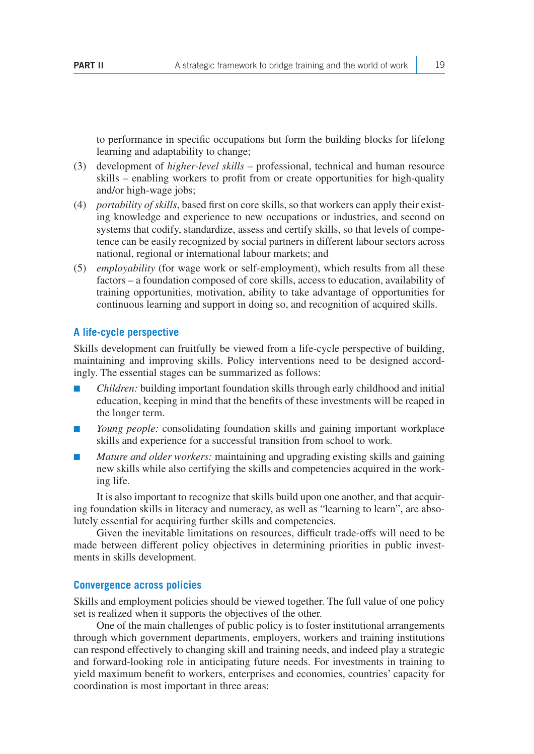to performance in specific occupations but form the building blocks for lifelong learning and adaptability to change;

- (3) development of *higher-level skills* professional, technical and human resource skills – enabling workers to profit from or create opportunities for high-quality and/or high-wage jobs;
- (4) *portability of skills*, based first on core skills, so that workers can apply their existing knowledge and experience to new occupations or industries, and second on systems that codify, standardize, assess and certify skills, so that levels of competence can be easily recognized by social partners in different labour sectors across national, regional or international labour markets; and
- (5) *employability* (for wage work or self-employment), which results from all these factors – a foundation composed of core skills, access to education, availability of training opportunities, motivation, ability to take advantage of opportunities for continuous learning and support in doing so, and recognition of acquired skills.

#### **A life-cycle perspective**

Skills development can fruitfully be viewed from a life-cycle perspective of building, maintaining and improving skills. Policy interventions need to be designed accordingly. The essential stages can be summarized as follows:

- *Children:* building important foundation skills through early childhood and initial education, keeping in mind that the benefits of these investments will be reaped in the longer term.
- *Young people:* consolidating foundation skills and gaining important workplace skills and experience for a successful transition from school to work.
- *Mature and older workers:* maintaining and upgrading existing skills and gaining new skills while also certifying the skills and competencies acquired in the working life.

It is also important to recognize that skills build upon one another, and that acquiring foundation skills in literacy and numeracy, as well as "learning to learn", are absolutely essential for acquiring further skills and competencies.

Given the inevitable limitations on resources, difficult trade-offs will need to be made between different policy objectives in determining priorities in public investments in skills development.

#### **Convergence across policies**

Skills and employment policies should be viewed together. The full value of one policy set is realized when it supports the objectives of the other.

One of the main challenges of public policy is to foster institutional arrangements through which government departments, employers, workers and training institutions can respond effectively to changing skill and training needs, and indeed play a strategic and forward-looking role in anticipating future needs. For investments in training to yield maximum benefit to workers, enterprises and economies, countries' capacity for coordination is most important in three areas: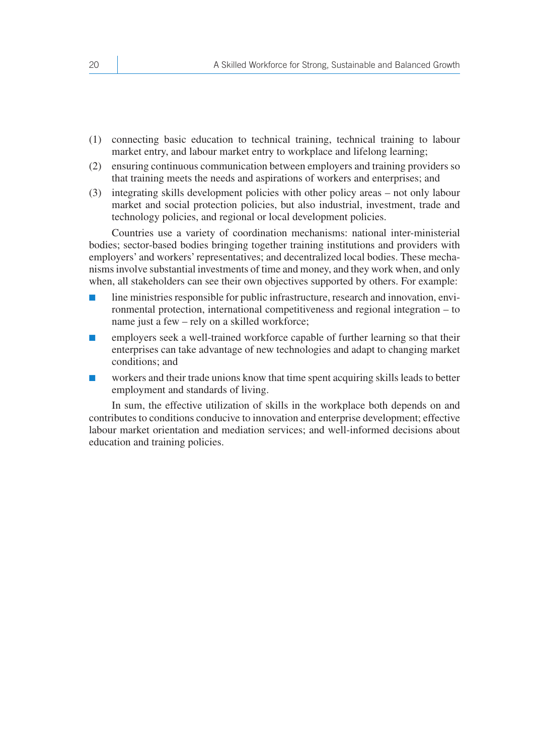- (1) connecting basic education to technical training, technical training to labour market entry, and labour market entry to workplace and lifelong learning;
- (2) ensuring continuous communication between employers and training providers so that training meets the needs and aspirations of workers and enterprises; and
- (3) integrating skills development policies with other policy areas not only labour market and social protection policies, but also industrial, investment, trade and technology policies, and regional or local development policies.

Countries use a variety of coordination mechanisms: national inter-ministerial bodies; sector-based bodies bringing together training institutions and providers with employers' and workers' representatives; and decentralized local bodies. These mechanisms involve substantial investments of time and money, and they work when, and only when, all stakeholders can see their own objectives supported by others. For example:

- line ministries responsible for public infrastructure, research and innovation, environmental protection, international competitiveness and regional integration – to name just a few – rely on a skilled workforce;
- employers seek a well-trained workforce capable of further learning so that their enterprises can take advantage of new technologies and adapt to changing market conditions; and
- workers and their trade unions know that time spent acquiring skills leads to better employment and standards of living.

In sum, the effective utilization of skills in the workplace both depends on and contributes to conditions conducive to innovation and enterprise development; effective labour market orientation and mediation services; and well-informed decisions about education and training policies.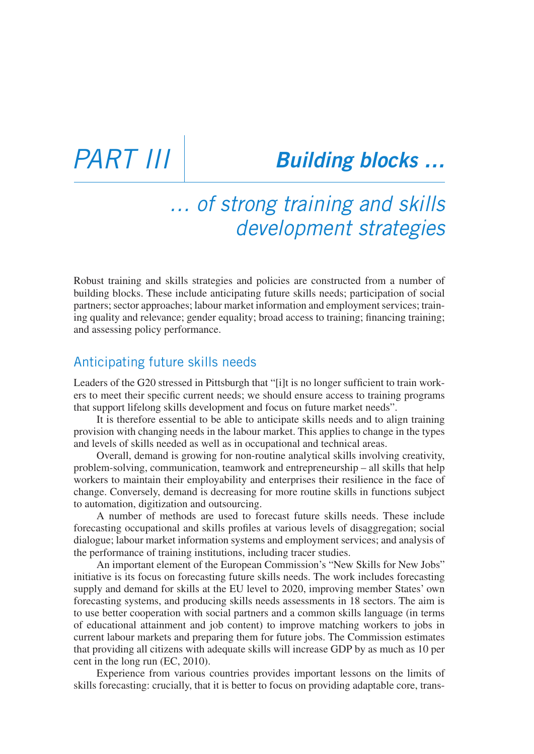## *Part iII Building blocks …*

### *… of strong training and skills development strategies*

Robust training and skills strategies and policies are constructed from a number of building blocks. These include anticipating future skills needs; participation of social partners; sector approaches; labour market information and employment services; training quality and relevance; gender equality; broad access to training; financing training; and assessing policy performance.

### Anticipating future skills needs

Leaders of the G20 stressed in Pittsburgh that "[i]t is no longer sufficient to train workers to meet their specific current needs; we should ensure access to training programs that support lifelong skills development and focus on future market needs".

It is therefore essential to be able to anticipate skills needs and to align training provision with changing needs in the labour market. This applies to change in the types and levels of skills needed as well as in occupational and technical areas.

Overall, demand is growing for non-routine analytical skills involving creativity, problem-solving, communication, teamwork and entrepreneurship – all skills that help workers to maintain their employability and enterprises their resilience in the face of change. Conversely, demand is decreasing for more routine skills in functions subject to automation, digitization and outsourcing.

A number of methods are used to forecast future skills needs. These include forecasting occupational and skills profiles at various levels of disaggregation; social dialogue; labour market information systems and employment services; and analysis of the performance of training institutions, including tracer studies.

An important element of the European Commission's "New Skills for New Jobs" initiative is its focus on forecasting future skills needs. The work includes forecasting supply and demand for skills at the EU level to 2020, improving member States' own forecasting systems, and producing skills needs assessments in 18 sectors. The aim is to use better cooperation with social partners and a common skills language (in terms of educational attainment and job content) to improve matching workers to jobs in current labour markets and preparing them for future jobs. The Commission estimates that providing all citizens with adequate skills will increase GDP by as much as 10 per cent in the long run (EC, 2010).

Experience from various countries provides important lessons on the limits of skills forecasting: crucially, that it is better to focus on providing adaptable core, trans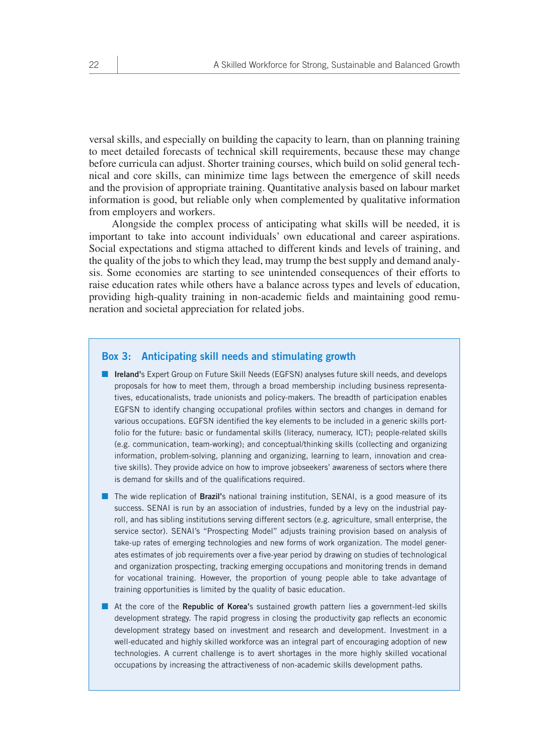versal skills, and especially on building the capacity to learn, than on planning training to meet detailed forecasts of technical skill requirements, because these may change before curricula can adjust. Shorter training courses, which build on solid general technical and core skills, can minimize time lags between the emergence of skill needs and the provision of appropriate training. Quantitative analysis based on labour market information is good, but reliable only when complemented by qualitative information from employers and workers.

Alongside the complex process of anticipating what skills will be needed, it is important to take into account individuals' own educational and career aspirations. Social expectations and stigma attached to different kinds and levels of training, and the quality of the jobs to which they lead, may trump the best supply and demand analysis. Some economies are starting to see unintended consequences of their efforts to raise education rates while others have a balance across types and levels of education, providing high-quality training in non-academic fields and maintaining good remuneration and societal appreciation for related jobs.

#### **Box 3: Anticipating skill needs and stimulating growth**

- **Ireland'**s Expert Group on Future Skill Needs (EGFSN) analyses future skill needs, and develops proposals for how to meet them, through a broad membership including business representatives, educationalists, trade unionists and policy-makers. The breadth of participation enables EGFSN to identify changing occupational profiles within sectors and changes in demand for various occupations. EGFSN identified the key elements to be included in a generic skills portfolio for the future: basic or fundamental skills (literacy, numeracy, ICT); people-related skills (e.g. communication, team-working); and conceptual/thinking skills (collecting and organizing information, problem-solving, planning and organizing, learning to learn, innovation and creative skills). They provide advice on how to improve jobseekers' awareness of sectors where there is demand for skills and of the qualifications required.
- The wide replication of **Brazil'**s national training institution, SENAI, is a good measure of its success. SENAI is run by an association of industries, funded by a levy on the industrial payroll, and has sibling institutions serving different sectors (e.g. agriculture, small enterprise, the service sector). SENAI's "Prospecting Model" adjusts training provision based on analysis of take-up rates of emerging technologies and new forms of work organization. The model generates estimates of job requirements over a five-year period by drawing on studies of technological and organization prospecting, tracking emerging occupations and monitoring trends in demand for vocational training. However, the proportion of young people able to take advantage of training opportunities is limited by the quality of basic education.
- At the core of the **Republic of Korea'**s sustained growth pattern lies a government-led skills development strategy. The rapid progress in closing the productivity gap reflects an economic development strategy based on investment and research and development. Investment in a well-educated and highly skilled workforce was an integral part of encouraging adoption of new technologies. A current challenge is to avert shortages in the more highly skilled vocational occupations by increasing the attractiveness of non-academic skills development paths.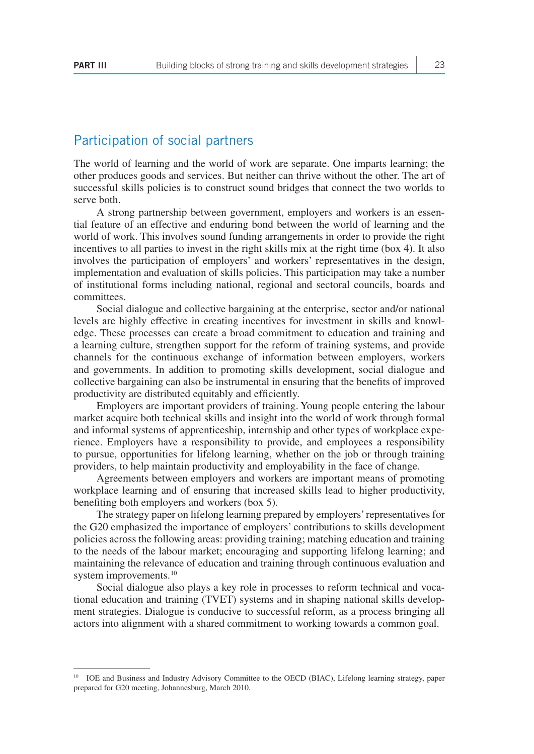#### Participation of social partners

The world of learning and the world of work are separate. One imparts learning; the other produces goods and services. But neither can thrive without the other. The art of successful skills policies is to construct sound bridges that connect the two worlds to serve both.

A strong partnership between government, employers and workers is an essential feature of an effective and enduring bond between the world of learning and the world of work. This involves sound funding arrangements in order to provide the right incentives to all parties to invest in the right skills mix at the right time (box 4). It also involves the participation of employers' and workers' representatives in the design, implementation and evaluation of skills policies. This participation may take a number of institutional forms including national, regional and sectoral councils, boards and committees.

Social dialogue and collective bargaining at the enterprise, sector and/or national levels are highly effective in creating incentives for investment in skills and knowledge. These processes can create a broad commitment to education and training and a learning culture, strengthen support for the reform of training systems, and provide channels for the continuous exchange of information between employers, workers and governments. In addition to promoting skills development, social dialogue and collective bargaining can also be instrumental in ensuring that the benefits of improved productivity are distributed equitably and efficiently.

Employers are important providers of training. Young people entering the labour market acquire both technical skills and insight into the world of work through formal and informal systems of apprenticeship, internship and other types of workplace experience. Employers have a responsibility to provide, and employees a responsibility to pursue, opportunities for lifelong learning, whether on the job or through training providers, to help maintain productivity and employability in the face of change.

Agreements between employers and workers are important means of promoting workplace learning and of ensuring that increased skills lead to higher productivity, benefiting both employers and workers (box 5).

The strategy paper on lifelong learning prepared by employers' representatives for the G20 emphasized the importance of employers' contributions to skills development policies across the following areas: providing training; matching education and training to the needs of the labour market; encouraging and supporting lifelong learning; and maintaining the relevance of education and training through continuous evaluation and system improvements.<sup>10</sup>

Social dialogue also plays a key role in processes to reform technical and vocational education and training (TVET) systems and in shaping national skills development strategies. Dialogue is conducive to successful reform, as a process bringing all actors into alignment with a shared commitment to working towards a common goal.

<sup>&</sup>lt;sup>10</sup> IOE and Business and Industry Advisory Committee to the OECD (BIAC), Lifelong learning strategy, paper prepared for G20 meeting, Johannesburg, March 2010.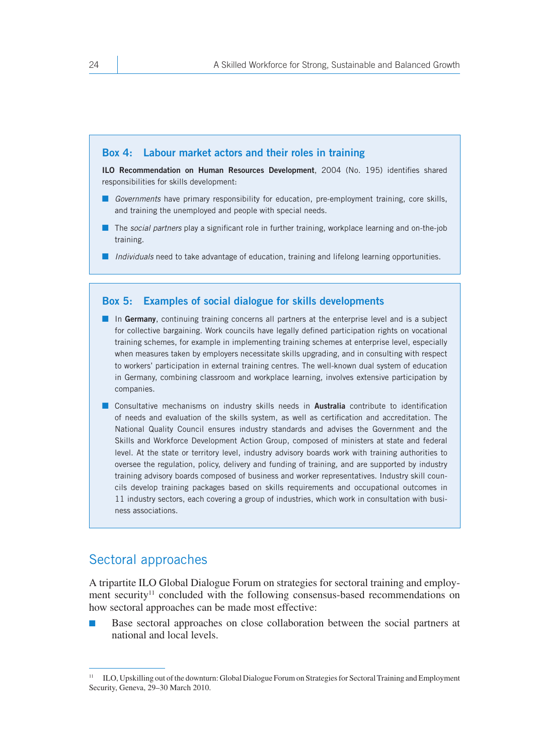#### **Box 4: Labour market actors and their roles in training**

**ILO Recommendation on Human Resources Development**, 2004 (No. 195) identifies shared responsibilities for skills development:

- *Governments* have primary responsibility for education, pre-employment training, core skills, and training the unemployed and people with special needs.
- The *social partners* play a significant role in further training, workplace learning and on-the-job training.
- *Individuals* need to take advantage of education, training and lifelong learning opportunities.

#### **Box 5: Examples of social dialogue for skills developments**

- In Germany, continuing training concerns all partners at the enterprise level and is a subject for collective bargaining. Work councils have legally defined participation rights on vocational training schemes, for example in implementing training schemes at enterprise level, especially when measures taken by employers necessitate skills upgrading, and in consulting with respect to workers' participation in external training centres. The well-known dual system of education in Germany, combining classroom and workplace learning, involves extensive participation by companies.
- Consultative mechanisms on industry skills needs in **Australia** contribute to identification of needs and evaluation of the skills system, as well as certification and accreditation. The National Quality Council ensures industry standards and advises the Government and the Skills and Workforce Development Action Group, composed of ministers at state and federal level. At the state or territory level, industry advisory boards work with training authorities to oversee the regulation, policy, delivery and funding of training, and are supported by industry training advisory boards composed of business and worker representatives. Industry skill councils develop training packages based on skills requirements and occupational outcomes in 11 industry sectors, each covering a group of industries, which work in consultation with business associations.

#### Sectoral approaches

A tripartite ILO Global Dialogue Forum on strategies for sectoral training and employment security<sup>11</sup> concluded with the following consensus-based recommendations on how sectoral approaches can be made most effective:

Base sectoral approaches on close collaboration between the social partners at national and local levels.

<sup>&</sup>lt;sup>11</sup> ILO, Upskilling out of the downturn: Global Dialogue Forum on Strategies for Sectoral Training and Employment Security, Geneva, 29–30 March 2010.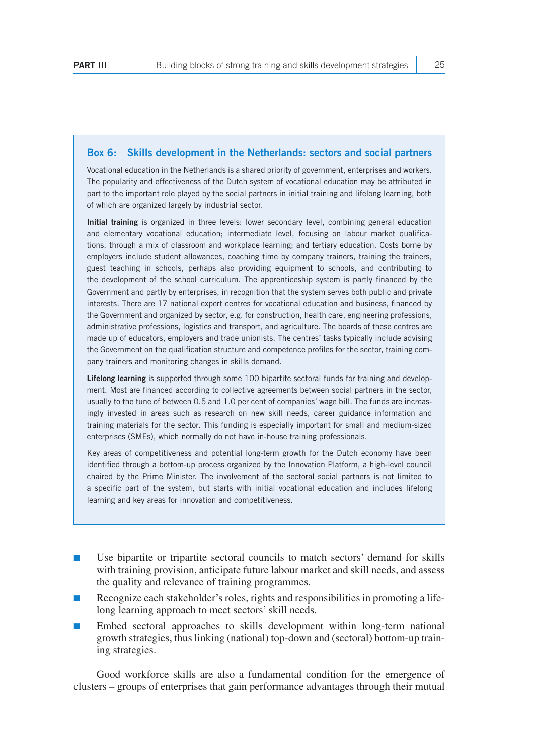#### **Box 6: Skills development in the Netherlands: sectors and social partners**

Vocational education in the Netherlands is a shared priority of government, enterprises and workers. The popularity and effectiveness of the Dutch system of vocational education may be attributed in part to the important role played by the social partners in initial training and lifelong learning, both of which are organized largely by industrial sector.

**Initial training** is organized in three levels: lower secondary level, combining general education and elementary vocational education; intermediate level, focusing on labour market qualifications, through a mix of classroom and workplace learning; and tertiary education. Costs borne by employers include student allowances, coaching time by company trainers, training the trainers, guest teaching in schools, perhaps also providing equipment to schools, and contributing to the development of the school curriculum. The apprenticeship system is partly financed by the Government and partly by enterprises, in recognition that the system serves both public and private interests. There are 17 national expert centres for vocational education and business, financed by the Government and organized by sector, e.g. for construction, health care, engineering professions, administrative professions, logistics and transport, and agriculture. The boards of these centres are made up of educators, employers and trade unionists. The centres' tasks typically include advising the Government on the qualification structure and competence profiles for the sector, training company trainers and monitoring changes in skills demand.

**Lifelong learning** is supported through some 100 bipartite sectoral funds for training and development. Most are financed according to collective agreements between social partners in the sector, usually to the tune of between 0.5 and 1.0 per cent of companies' wage bill. The funds are increasingly invested in areas such as research on new skill needs, career guidance information and training materials for the sector. This funding is especially important for small and medium-sized enterprises (SMEs), which normally do not have in-house training professionals.

Key areas of competitiveness and potential long-term growth for the Dutch economy have been identified through a bottom-up process organized by the Innovation Platform, a high-level council chaired by the Prime Minister. The involvement of the sectoral social partners is not limited to a specific part of the system, but starts with initial vocational education and includes lifelong learning and key areas for innovation and competitiveness.

- Use bipartite or tripartite sectoral councils to match sectors' demand for skills with training provision, anticipate future labour market and skill needs, and assess the quality and relevance of training programmes.
- Recognize each stakeholder's roles, rights and responsibilities in promoting a lifelong learning approach to meet sectors' skill needs.
- Embed sectoral approaches to skills development within long-term national growth strategies, thus linking (national) top-down and (sectoral) bottom-up training strategies.

Good workforce skills are also a fundamental condition for the emergence of clusters – groups of enterprises that gain performance advantages through their mutual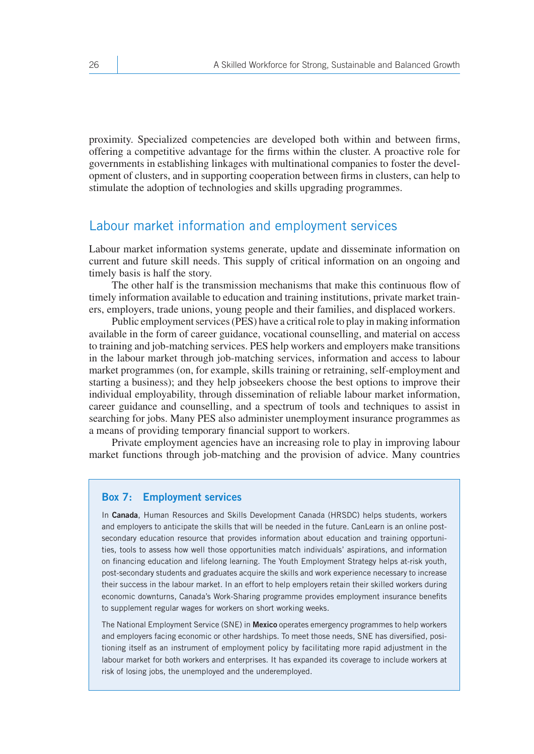proximity. Specialized competencies are developed both within and between firms, offering a competitive advantage for the firms within the cluster. A proactive role for governments in establishing linkages with multinational companies to foster the development of clusters, and in supporting cooperation between firms in clusters, can help to stimulate the adoption of technologies and skills upgrading programmes.

#### Labour market information and employment services

Labour market information systems generate, update and disseminate information on current and future skill needs. This supply of critical information on an ongoing and timely basis is half the story.

The other half is the transmission mechanisms that make this continuous flow of timely information available to education and training institutions, private market trainers, employers, trade unions, young people and their families, and displaced workers.

Public employment services (PES) have a critical role to play in making information available in the form of career guidance, vocational counselling, and material on access to training and job-matching services. PES help workers and employers make transitions in the labour market through job-matching services, information and access to labour market programmes (on, for example, skills training or retraining, self-employment and starting a business); and they help jobseekers choose the best options to improve their individual employability, through dissemination of reliable labour market information, career guidance and counselling, and a spectrum of tools and techniques to assist in searching for jobs. Many PES also administer unemployment insurance programmes as a means of providing temporary financial support to workers.

Private employment agencies have an increasing role to play in improving labour market functions through job-matching and the provision of advice. Many countries

#### **Box 7: Employment services**

In **Canada**, Human Resources and Skills Development Canada (HRSDC) helps students, workers and employers to anticipate the skills that will be needed in the future. CanLearn is an online postsecondary education resource that provides information about education and training opportunities, tools to assess how well those opportunities match individuals' aspirations, and information on financing education and lifelong learning. The Youth Employment Strategy helps at-risk youth, post-secondary students and graduates acquire the skills and work experience necessary to increase their success in the labour market. In an effort to help employers retain their skilled workers during economic downturns, Canada's Work-Sharing programme provides employment insurance benefits to supplement regular wages for workers on short working weeks.

The National Employment Service (SNE) in **Mexico** operates emergency programmes to help workers and employers facing economic or other hardships. To meet those needs, SNE has diversified, positioning itself as an instrument of employment policy by facilitating more rapid adjustment in the labour market for both workers and enterprises. It has expanded its coverage to include workers at risk of losing jobs, the unemployed and the underemployed.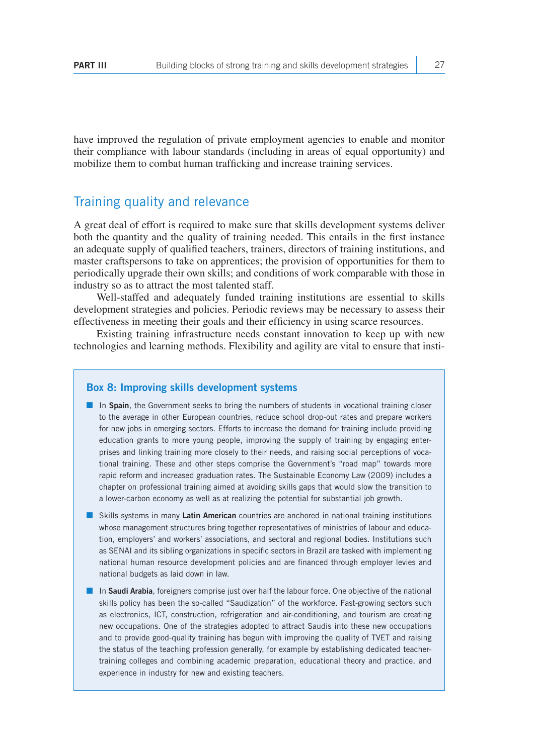have improved the regulation of private employment agencies to enable and monitor their compliance with labour standards (including in areas of equal opportunity) and mobilize them to combat human trafficking and increase training services.

#### Training quality and relevance

A great deal of effort is required to make sure that skills development systems deliver both the quantity and the quality of training needed. This entails in the first instance an adequate supply of qualified teachers, trainers, directors of training institutions, and master craftspersons to take on apprentices; the provision of opportunities for them to periodically upgrade their own skills; and conditions of work comparable with those in industry so as to attract the most talented staff.

Well-staffed and adequately funded training institutions are essential to skills development strategies and policies. Periodic reviews may be necessary to assess their effectiveness in meeting their goals and their efficiency in using scarce resources.

Existing training infrastructure needs constant innovation to keep up with new technologies and learning methods. Flexibility and agility are vital to ensure that insti-

#### **Box 8: Improving skills development systems**

- In **Spain**, the Government seeks to bring the numbers of students in vocational training closer to the average in other European countries, reduce school drop-out rates and prepare workers for new jobs in emerging sectors. Efforts to increase the demand for training include providing education grants to more young people, improving the supply of training by engaging enterprises and linking training more closely to their needs, and raising social perceptions of vocational training. These and other steps comprise the Government's "road map" towards more rapid reform and increased graduation rates. The Sustainable Economy Law (2009) includes a chapter on professional training aimed at avoiding skills gaps that would slow the transition to a lower-carbon economy as well as at realizing the potential for substantial job growth.
- Skills systems in many **Latin American** countries are anchored in national training institutions whose management structures bring together representatives of ministries of labour and education, employers' and workers' associations, and sectoral and regional bodies. Institutions such as SENAI and its sibling organizations in specific sectors in Brazil are tasked with implementing national human resource development policies and are financed through employer levies and national budgets as laid down in law.
- In **Saudi Arabia**, foreigners comprise just over half the labour force. One objective of the national skills policy has been the so-called "Saudization" of the workforce. Fast-growing sectors such as electronics, ICT, construction, refrigeration and air-conditioning, and tourism are creating new occupations. One of the strategies adopted to attract Saudis into these new occupations and to provide good-quality training has begun with improving the quality of TVET and raising the status of the teaching profession generally, for example by establishing dedicated teachertraining colleges and combining academic preparation, educational theory and practice, and experience in industry for new and existing teachers.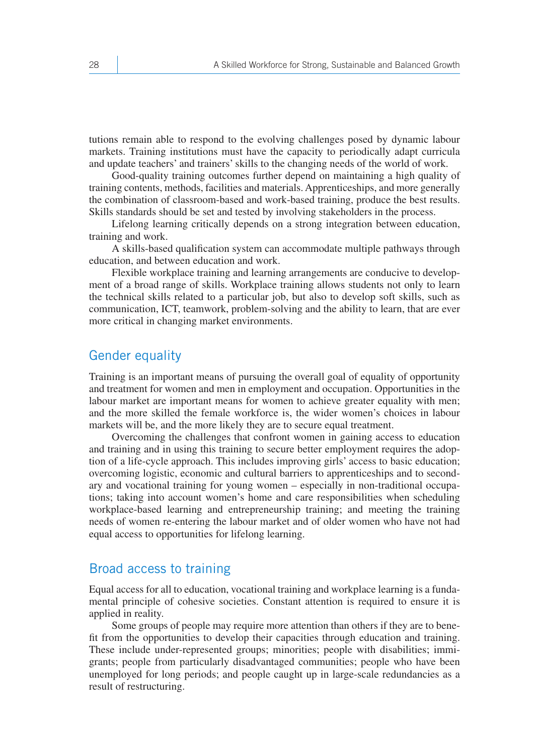tutions remain able to respond to the evolving challenges posed by dynamic labour markets. Training institutions must have the capacity to periodically adapt curricula and update teachers' and trainers' skills to the changing needs of the world of work.

Good-quality training outcomes further depend on maintaining a high quality of training contents, methods, facilities and materials. Apprenticeships, and more generally the combination of classroom-based and work-based training, produce the best results. Skills standards should be set and tested by involving stakeholders in the process.

Lifelong learning critically depends on a strong integration between education, training and work.

A skills-based qualification system can accommodate multiple pathways through education, and between education and work.

Flexible workplace training and learning arrangements are conducive to development of a broad range of skills. Workplace training allows students not only to learn the technical skills related to a particular job, but also to develop soft skills, such as communication, ICT, teamwork, problem-solving and the ability to learn, that are ever more critical in changing market environments.

#### Gender equality

Training is an important means of pursuing the overall goal of equality of opportunity and treatment for women and men in employment and occupation. Opportunities in the labour market are important means for women to achieve greater equality with men; and the more skilled the female workforce is, the wider women's choices in labour markets will be, and the more likely they are to secure equal treatment.

Overcoming the challenges that confront women in gaining access to education and training and in using this training to secure better employment requires the adoption of a life-cycle approach. This includes improving girls' access to basic education; overcoming logistic, economic and cultural barriers to apprenticeships and to secondary and vocational training for young women – especially in non-traditional occupations; taking into account women's home and care responsibilities when scheduling workplace-based learning and entrepreneurship training; and meeting the training needs of women re-entering the labour market and of older women who have not had equal access to opportunities for lifelong learning.

#### Broad access to training

Equal access for all to education, vocational training and workplace learning is a fundamental principle of cohesive societies. Constant attention is required to ensure it is applied in reality.

Some groups of people may require more attention than others if they are to benefit from the opportunities to develop their capacities through education and training. These include under-represented groups; minorities; people with disabilities; immigrants; people from particularly disadvantaged communities; people who have been unemployed for long periods; and people caught up in large-scale redundancies as a result of restructuring.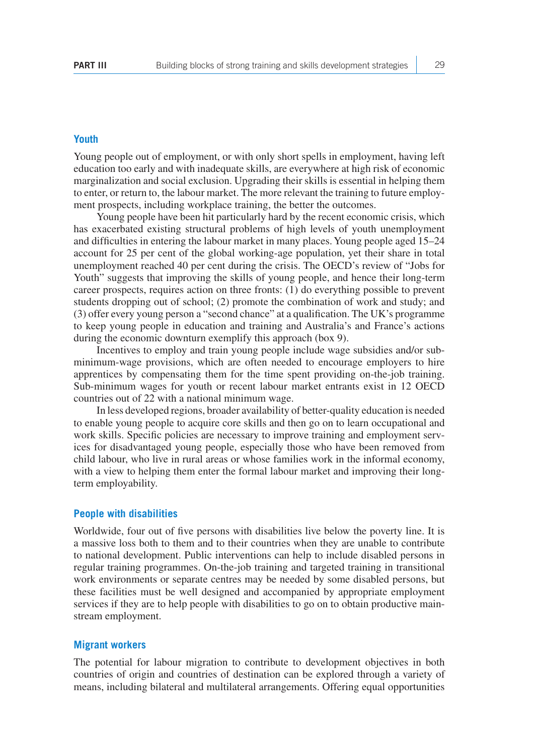#### **Youth**

Young people out of employment, or with only short spells in employment, having left education too early and with inadequate skills, are everywhere at high risk of economic marginalization and social exclusion. Upgrading their skills is essential in helping them to enter, or return to, the labour market. The more relevant the training to future employment prospects, including workplace training, the better the outcomes.

Young people have been hit particularly hard by the recent economic crisis, which has exacerbated existing structural problems of high levels of youth unemployment and difficulties in entering the labour market in many places. Young people aged 15–24 account for 25 per cent of the global working-age population, yet their share in total unemployment reached 40 per cent during the crisis. The OECD's review of "Jobs for Youth" suggests that improving the skills of young people, and hence their long-term career prospects, requires action on three fronts: (1) do everything possible to prevent students dropping out of school; (2) promote the combination of work and study; and (3) offer every young person a "second chance" at a qualification. The UK's programme to keep young people in education and training and Australia's and France's actions during the economic downturn exemplify this approach (box 9).

Incentives to employ and train young people include wage subsidies and/or subminimum-wage provisions, which are often needed to encourage employers to hire apprentices by compensating them for the time spent providing on-the-job training. Sub-minimum wages for youth or recent labour market entrants exist in 12 OECD countries out of 22 with a national minimum wage.

In less developed regions, broader availability of better-quality education is needed to enable young people to acquire core skills and then go on to learn occupational and work skills. Specific policies are necessary to improve training and employment services for disadvantaged young people, especially those who have been removed from child labour, who live in rural areas or whose families work in the informal economy, with a view to helping them enter the formal labour market and improving their longterm employability.

#### **People with disabilities**

Worldwide, four out of five persons with disabilities live below the poverty line. It is a massive loss both to them and to their countries when they are unable to contribute to national development. Public interventions can help to include disabled persons in regular training programmes. On-the-job training and targeted training in transitional work environments or separate centres may be needed by some disabled persons, but these facilities must be well designed and accompanied by appropriate employment services if they are to help people with disabilities to go on to obtain productive mainstream employment.

#### **Migrant workers**

The potential for labour migration to contribute to development objectives in both countries of origin and countries of destination can be explored through a variety of means, including bilateral and multilateral arrangements. Offering equal opportunities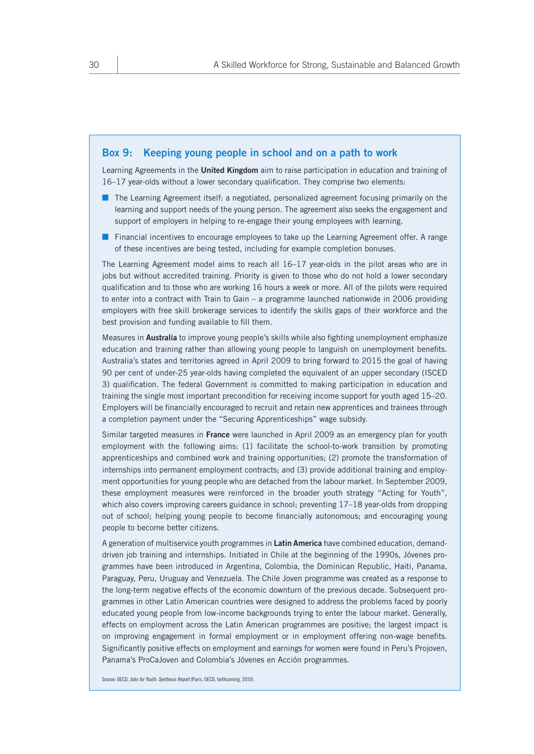#### **Box 9: Keeping young people in school and on a path to work**

Learning Agreements in the **United Kingdom** aim to raise participation in education and training of 16–17 year-olds without a lower secondary qualification. They comprise two elements:

- The Learning Agreement itself: a negotiated, personalized agreement focusing primarily on the learning and support needs of the young person. The agreement also seeks the engagement and support of employers in helping to re-engage their young employees with learning.
- Financial incentives to encourage employees to take up the Learning Agreement offer. A range of these incentives are being tested, including for example completion bonuses.

The Learning Agreement model aims to reach all 16–17 year-olds in the pilot areas who are in jobs but without accredited training. Priority is given to those who do not hold a lower secondary qualification and to those who are working 16 hours a week or more. All of the pilots were required to enter into a contract with Train to Gain – a programme launched nationwide in 2006 providing employers with free skill brokerage services to identify the skills gaps of their workforce and the best provision and funding available to fill them.

Measures in **Australia** to improve young people's skills while also fighting unemployment emphasize education and training rather than allowing young people to languish on unemployment benefits. Australia's states and territories agreed in April 2009 to bring forward to 2015 the goal of having 90 per cent of under-25 year-olds having completed the equivalent of an upper secondary (ISCED 3) qualification. The federal Government is committed to making participation in education and training the single most important precondition for receiving income support for youth aged 15–20. Employers will be financially encouraged to recruit and retain new apprentices and trainees through a completion payment under the "Securing Apprenticeships" wage subsidy.

Similar targeted measures in **France** were launched in April 2009 as an emergency plan for youth employment with the following aims: (1) facilitate the school-to-work transition by promoting apprenticeships and combined work and training opportunities; (2) promote the transformation of internships into permanent employment contracts; and (3) provide additional training and employment opportunities for young people who are detached from the labour market. In September 2009, these employment measures were reinforced in the broader youth strategy "Acting for Youth", which also covers improving careers guidance in school; preventing 17–18 year-olds from dropping out of school; helping young people to become financially autonomous; and encouraging young people to become better citizens.

A generation of multiservice youth programmes in **Latin America** have combined education, demanddriven job training and internships. Initiated in Chile at the beginning of the 1990s, Jóvenes programmes have been introduced in Argentina, Colombia, the Dominican Republic, Haiti, Panama, Paraguay, Peru, Uruguay and Venezuela. The Chile Joven programme was created as a response to the long-term negative effects of the economic downturn of the previous decade. Subsequent programmes in other Latin American countries were designed to address the problems faced by poorly educated young people from low-income backgrounds trying to enter the labour market. Generally, effects on employment across the Latin American programmes are positive; the largest impact is on improving engagement in formal employment or in employment offering non-wage benefits. Significantly positive effects on employment and earnings for women were found in Peru's Projoven, Panama's ProCaJoven and Colombia's Jóvenes en Acción programmes.

Source: OECD, *Jobs for Youth: Synthesis Report* (Paris, OECD, forthcoming, 2010).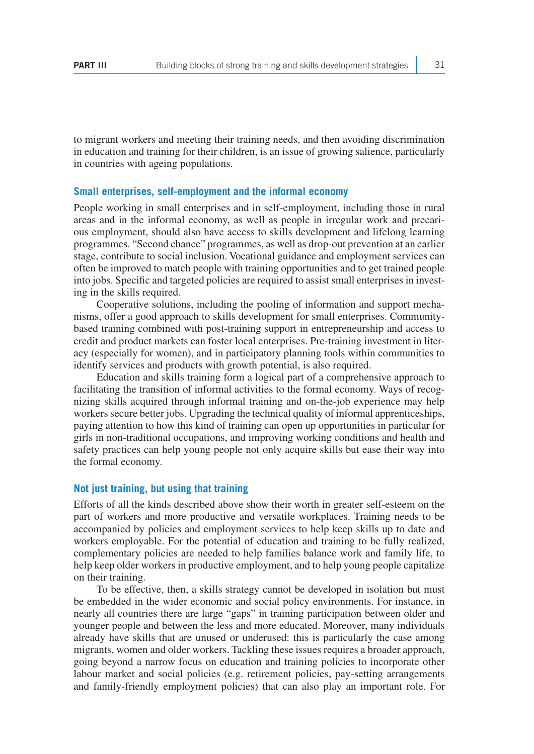to migrant workers and meeting their training needs, and then avoiding discrimination in education and training for their children, is an issue of growing salience, particularly in countries with ageing populations.

#### **Small enterprises, self-employment and the informal economy**

People working in small enterprises and in self-employment, including those in rural areas and in the informal economy, as well as people in irregular work and precarious employment, should also have access to skills development and lifelong learning programmes. "Second chance" programmes, as well as drop-out prevention at an earlier stage, contribute to social inclusion. Vocational guidance and employment services can often be improved to match people with training opportunities and to get trained people into jobs. Specific and targeted policies are required to assist small enterprises in investing in the skills required.

Cooperative solutions, including the pooling of information and support mechanisms, offer a good approach to skills development for small enterprises. Communitybased training combined with post-training support in entrepreneurship and access to credit and product markets can foster local enterprises. Pre-training investment in literacy (especially for women), and in participatory planning tools within communities to identify services and products with growth potential, is also required.

Education and skills training form a logical part of a comprehensive approach to facilitating the transition of informal activities to the formal economy. Ways of recognizing skills acquired through informal training and on-the-job experience may help workers secure better jobs. Upgrading the technical quality of informal apprenticeships, paying attention to how this kind of training can open up opportunities in particular for girls in non-traditional occupations, and improving working conditions and health and safety practices can help young people not only acquire skills but ease their way into the formal economy.

#### **Not just training, but using that training**

Efforts of all the kinds described above show their worth in greater self-esteem on the part of workers and more productive and versatile workplaces. Training needs to be accompanied by policies and employment services to help keep skills up to date and workers employable. For the potential of education and training to be fully realized, complementary policies are needed to help families balance work and family life, to help keep older workers in productive employment, and to help young people capitalize on their training.

To be effective, then, a skills strategy cannot be developed in isolation but must be embedded in the wider economic and social policy environments. For instance, in nearly all countries there are large "gaps" in training participation between older and younger people and between the less and more educated. Moreover, many individuals already have skills that are unused or underused: this is particularly the case among migrants, women and older workers. Tackling these issues requires a broader approach, going beyond a narrow focus on education and training policies to incorporate other labour market and social policies (e.g. retirement policies, pay-setting arrangements and family-friendly employment policies) that can also play an important role. For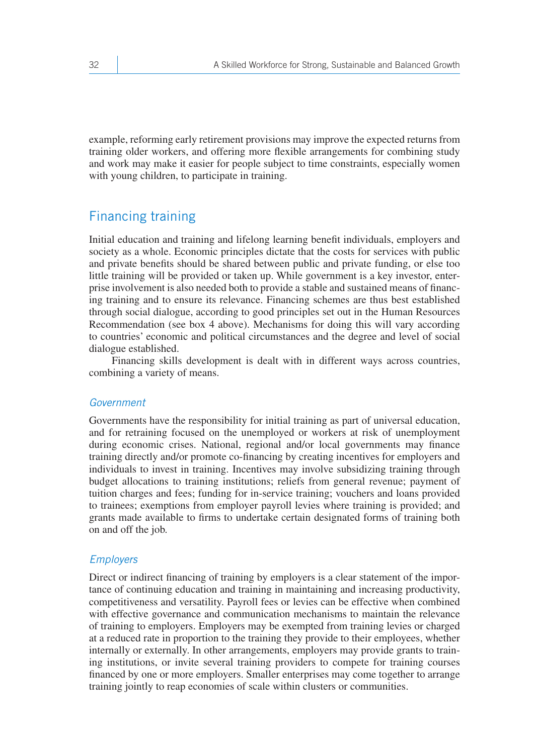example, reforming early retirement provisions may improve the expected returns from training older workers, and offering more flexible arrangements for combining study and work may make it easier for people subject to time constraints, especially women with young children, to participate in training.

### Financing training

Initial education and training and lifelong learning benefit individuals, employers and society as a whole. Economic principles dictate that the costs for services with public and private benefits should be shared between public and private funding, or else too little training will be provided or taken up. While government is a key investor, enterprise involvement is also needed both to provide a stable and sustained means of financing training and to ensure its relevance. Financing schemes are thus best established through social dialogue, according to good principles set out in the Human Resources Recommendation (see box 4 above). Mechanisms for doing this will vary according to countries' economic and political circumstances and the degree and level of social dialogue established.

Financing skills development is dealt with in different ways across countries, combining a variety of means.

#### *Government*

Governments have the responsibility for initial training as part of universal education, and for retraining focused on the unemployed or workers at risk of unemployment during economic crises. National, regional and/or local governments may finance training directly and/or promote co-financing by creating incentives for employers and individuals to invest in training. Incentives may involve subsidizing training through budget allocations to training institutions; reliefs from general revenue; payment of tuition charges and fees; funding for in-service training; vouchers and loans provided to trainees; exemptions from employer payroll levies where training is provided; and grants made available to firms to undertake certain designated forms of training both on and off the job.

#### *Employers*

Direct or indirect financing of training by employers is a clear statement of the importance of continuing education and training in maintaining and increasing productivity, competitiveness and versatility. Payroll fees or levies can be effective when combined with effective governance and communication mechanisms to maintain the relevance of training to employers. Employers may be exempted from training levies or charged at a reduced rate in proportion to the training they provide to their employees, whether internally or externally. In other arrangements, employers may provide grants to training institutions, or invite several training providers to compete for training courses financed by one or more employers. Smaller enterprises may come together to arrange training jointly to reap economies of scale within clusters or communities.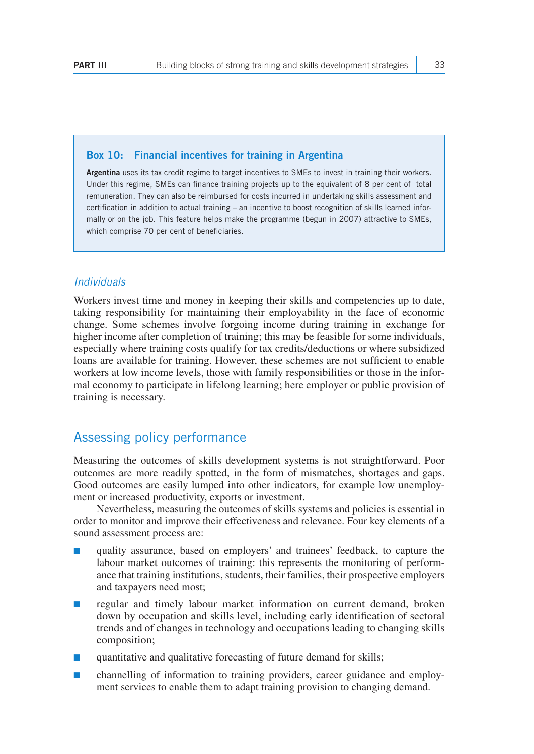#### **Box 10: Financial incentives for training in Argentina**

**Argentina** uses its tax credit regime to target incentives to SMEs to invest in training their workers. Under this regime, SMEs can finance training projects up to the equivalent of 8 per cent of total remuneration. They can also be reimbursed for costs incurred in undertaking skills assessment and certification in addition to actual training – an incentive to boost recognition of skills learned informally or on the job. This feature helps make the programme (begun in 2007) attractive to SMEs, which comprise 70 per cent of beneficiaries.

#### *Individuals*

Workers invest time and money in keeping their skills and competencies up to date, taking responsibility for maintaining their employability in the face of economic change. Some schemes involve forgoing income during training in exchange for higher income after completion of training; this may be feasible for some individuals, especially where training costs qualify for tax credits/deductions or where subsidized loans are available for training. However, these schemes are not sufficient to enable workers at low income levels, those with family responsibilities or those in the informal economy to participate in lifelong learning; here employer or public provision of training is necessary.

#### Assessing policy performance

Measuring the outcomes of skills development systems is not straightforward. Poor outcomes are more readily spotted, in the form of mismatches, shortages and gaps. Good outcomes are easily lumped into other indicators, for example low unemployment or increased productivity, exports or investment.

Nevertheless, measuring the outcomes of skills systems and policies is essential in order to monitor and improve their effectiveness and relevance. Four key elements of a sound assessment process are:

- quality assurance, based on employers' and trainees' feedback, to capture the labour market outcomes of training: this represents the monitoring of performance that training institutions, students, their families, their prospective employers and taxpayers need most;
- regular and timely labour market information on current demand, broken down by occupation and skills level, including early identification of sectoral trends and of changes in technology and occupations leading to changing skills composition;
- quantitative and qualitative forecasting of future demand for skills;
- channelling of information to training providers, career guidance and employment services to enable them to adapt training provision to changing demand.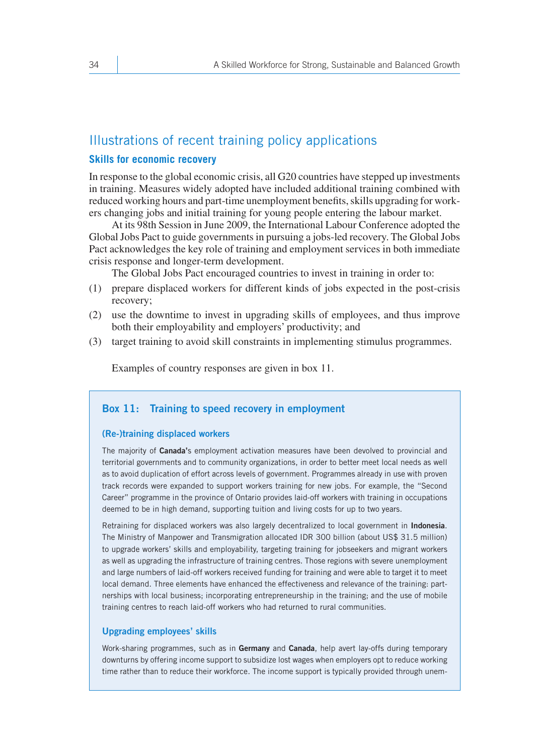### Illustrations of recent training policy applications

#### **Skills for economic recovery**

In response to the global economic crisis, all G20 countries have stepped up investments in training. Measures widely adopted have included additional training combined with reduced working hours and part-time unemployment benefits, skills upgrading for workers changing jobs and initial training for young people entering the labour market.

At its 98th Session in June 2009, the International Labour Conference adopted the Global Jobs Pact to guide governments in pursuing a jobs-led recovery. The Global Jobs Pact acknowledges the key role of training and employment services in both immediate crisis response and longer-term development.

The Global Jobs Pact encouraged countries to invest in training in order to:

- (1) prepare displaced workers for different kinds of jobs expected in the post-crisis recovery;
- (2) use the downtime to invest in upgrading skills of employees, and thus improve both their employability and employers' productivity; and
- (3) target training to avoid skill constraints in implementing stimulus programmes.

Examples of country responses are given in box 11.

#### **Box 11: Training to speed recovery in employment**

#### **(Re-)training displaced workers**

The majority of **Canada'**s employment activation measures have been devolved to provincial and territorial governments and to community organizations, in order to better meet local needs as well as to avoid duplication of effort across levels of government. Programmes already in use with proven track records were expanded to support workers training for new jobs. For example, the "Second Career" programme in the province of Ontario provides laid-off workers with training in occupations deemed to be in high demand, supporting tuition and living costs for up to two years.

Retraining for displaced workers was also largely decentralized to local government in **Indonesia**. The Ministry of Manpower and Transmigration allocated IDR 300 billion (about US\$ 31.5 million) to upgrade workers' skills and employability, targeting training for jobseekers and migrant workers as well as upgrading the infrastructure of training centres. Those regions with severe unemployment and large numbers of laid-off workers received funding for training and were able to target it to meet local demand. Three elements have enhanced the effectiveness and relevance of the training: partnerships with local business; incorporating entrepreneurship in the training; and the use of mobile training centres to reach laid-off workers who had returned to rural communities.

#### **Upgrading employees' skills**

Work-sharing programmes, such as in **Germany** and **Canada**, help avert lay-offs during temporary downturns by offering income support to subsidize lost wages when employers opt to reduce working time rather than to reduce their workforce. The income support is typically provided through unem-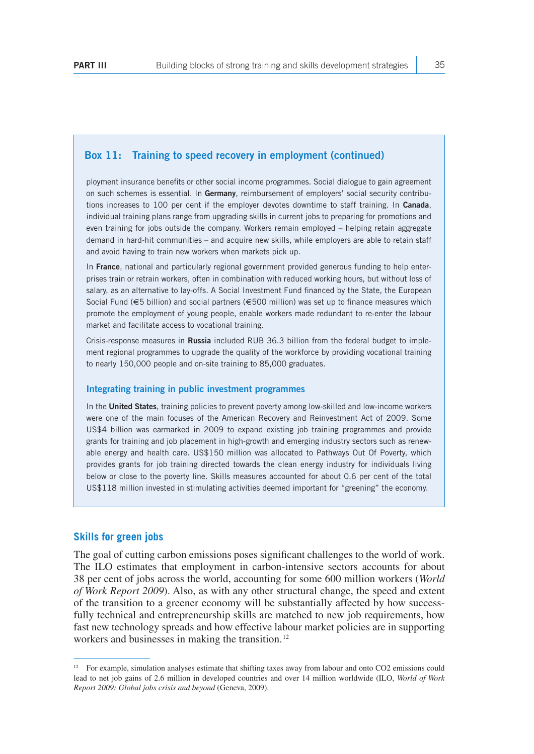#### **Box 11: Training to speed recovery in employment (continued)**

ployment insurance benefits or other social income programmes. Social dialogue to gain agreement on such schemes is essential. In **Germany**, reimbursement of employers' social security contributions increases to 100 per cent if the employer devotes downtime to staff training. In **Canada**, individual training plans range from upgrading skills in current jobs to preparing for promotions and even training for jobs outside the company. Workers remain employed – helping retain aggregate demand in hard-hit communities – and acquire new skills, while employers are able to retain staff and avoid having to train new workers when markets pick up.

In **France**, national and particularly regional government provided generous funding to help enterprises train or retrain workers, often in combination with reduced working hours, but without loss of salary, as an alternative to lay-offs. A Social Investment Fund financed by the State, the European Social Fund (€5 billion) and social partners (€500 million) was set up to finance measures which promote the employment of young people, enable workers made redundant to re-enter the labour market and facilitate access to vocational training.

Crisis-response measures in **Russia** included RUB 36.3 billion from the federal budget to implement regional programmes to upgrade the quality of the workforce by providing vocational training to nearly 150,000 people and on-site training to 85,000 graduates.

#### **Integrating training in public investment programmes**

In the **United States**, training policies to prevent poverty among low-skilled and low-income workers were one of the main focuses of the American Recovery and Reinvestment Act of 2009. Some US\$4 billion was earmarked in 2009 to expand existing job training programmes and provide grants for training and job placement in high-growth and emerging industry sectors such as renewable energy and health care. US\$150 million was allocated to Pathways Out Of Poverty, which provides grants for job training directed towards the clean energy industry for individuals living below or close to the poverty line. Skills measures accounted for about 0.6 per cent of the total US\$118 million invested in stimulating activities deemed important for "greening" the economy.

#### **Skills for green jobs**

The goal of cutting carbon emissions poses significant challenges to the world of work. The ILO estimates that employment in carbon-intensive sectors accounts for about 38 per cent of jobs across the world, accounting for some 600 million workers (*World of Work Report 2009*). Also, as with any other structural change, the speed and extent of the transition to a greener economy will be substantially affected by how successfully technical and entrepreneurship skills are matched to new job requirements, how fast new technology spreads and how effective labour market policies are in supporting workers and businesses in making the transition.<sup>12</sup>

<sup>&</sup>lt;sup>12</sup> For example, simulation analyses estimate that shifting taxes away from labour and onto CO2 emissions could lead to net job gains of 2.6 million in developed countries and over 14 million worldwide (ILO, *World of Work Report 2009: Global jobs crisis and beyond* (Geneva, 2009).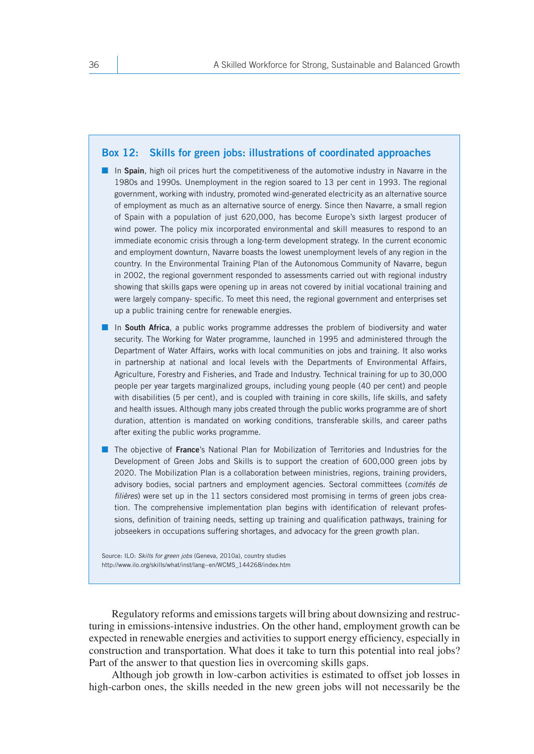#### **Box 12: Skills for green jobs: illustrations of coordinated approaches**

- In Spain, high oil prices hurt the competitiveness of the automotive industry in Navarre in the 1980s and 1990s. Unemployment in the region soared to 13 per cent in 1993. The regional government, working with industry, promoted wind-generated electricity as an alternative source of employment as much as an alternative source of energy. Since then Navarre, a small region of Spain with a population of just 620,000, has become Europe's sixth largest producer of wind power. The policy mix incorporated environmental and skill measures to respond to an immediate economic crisis through a long-term development strategy. In the current economic and employment downturn, Navarre boasts the lowest unemployment levels of any region in the country. In the Environmental Training Plan of the Autonomous Community of Navarre, begun in 2002, the regional government responded to assessments carried out with regional industry showing that skills gaps were opening up in areas not covered by initial vocational training and were largely company- specific. To meet this need, the regional government and enterprises set up a public training centre for renewable energies.
- In **South Africa**, a public works programme addresses the problem of biodiversity and water security. The Working for Water programme, launched in 1995 and administered through the Department of Water Affairs, works with local communities on jobs and training. It also works in partnership at national and local levels with the Departments of Environmental Affairs, Agriculture, Forestry and Fisheries, and Trade and Industry. Technical training for up to 30,000 people per year targets marginalized groups, including young people (40 per cent) and people with disabilities (5 per cent), and is coupled with training in core skills, life skills, and safety and health issues. Although many jobs created through the public works programme are of short duration, attention is mandated on working conditions, transferable skills, and career paths after exiting the public works programme.
- The objective of **France**'s National Plan for Mobilization of Territories and Industries for the Development of Green Jobs and Skills is to support the creation of 600,000 green jobs by 2020. The Mobilization Plan is a collaboration between ministries, regions, training providers, advisory bodies, social partners and employment agencies. Sectoral committees (*comités de filières*) were set up in the 11 sectors considered most promising in terms of green jobs creation. The comprehensive implementation plan begins with identification of relevant professions, definition of training needs, setting up training and qualification pathways, training for jobseekers in occupations suffering shortages, and advocacy for the green growth plan.

Source: ILO: *Skills for green jobs* (Geneva, 2010a), country studies http://www.ilo.org/skills/what/inst/lang--en/WCMS\_144268/index.htm

Regulatory reforms and emissions targets will bring about downsizing and restructuring in emissions-intensive industries. On the other hand, employment growth can be expected in renewable energies and activities to support energy efficiency, especially in construction and transportation. What does it take to turn this potential into real jobs? Part of the answer to that question lies in overcoming skills gaps.

Although job growth in low-carbon activities is estimated to offset job losses in high-carbon ones, the skills needed in the new green jobs will not necessarily be the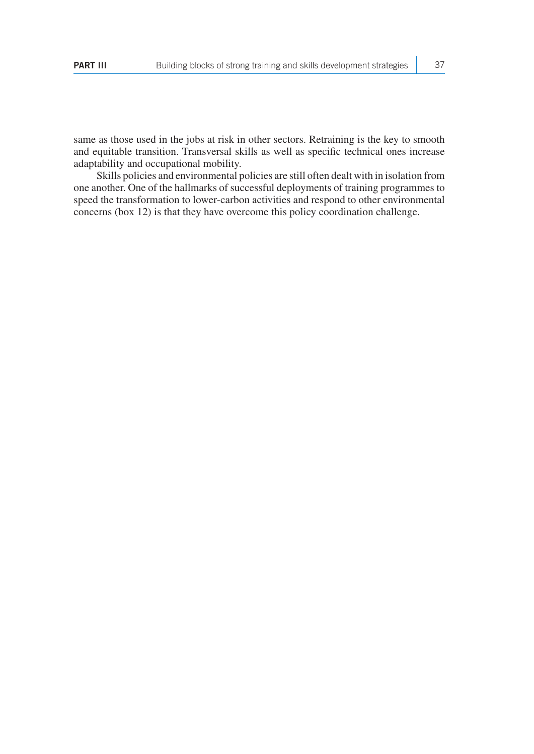same as those used in the jobs at risk in other sectors. Retraining is the key to smooth and equitable transition. Transversal skills as well as specific technical ones increase adaptability and occupational mobility.

Skills policies and environmental policies are still often dealt with in isolation from one another. One of the hallmarks of successful deployments of training programmes to speed the transformation to lower-carbon activities and respond to other environmental concerns (box 12) is that they have overcome this policy coordination challenge.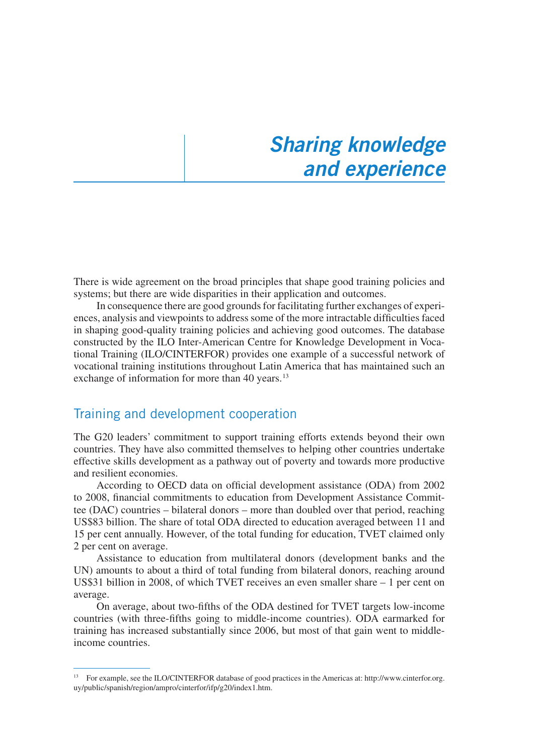### *Sharing knowledge and experience*

There is wide agreement on the broad principles that shape good training policies and systems; but there are wide disparities in their application and outcomes.

In consequence there are good grounds for facilitating further exchanges of experiences, analysis and viewpoints to address some of the more intractable difficulties faced in shaping good-quality training policies and achieving good outcomes. The database constructed by the ILO Inter-American Centre for Knowledge Development in Vocational Training (ILO/CINTERFOR) provides one example of a successful network of vocational training institutions throughout Latin America that has maintained such an exchange of information for more than 40 years.<sup>13</sup>

#### Training and development cooperation

The G20 leaders' commitment to support training efforts extends beyond their own countries. They have also committed themselves to helping other countries undertake effective skills development as a pathway out of poverty and towards more productive and resilient economies.

According to OECD data on official development assistance (ODA) from 2002 to 2008, financial commitments to education from Development Assistance Committee (DAC) countries – bilateral donors – more than doubled over that period, reaching US\$83 billion. The share of total ODA directed to education averaged between 11 and 15 per cent annually. However, of the total funding for education, TVET claimed only 2 per cent on average.

Assistance to education from multilateral donors (development banks and the UN) amounts to about a third of total funding from bilateral donors, reaching around US\$31 billion in 2008, of which TVET receives an even smaller share – 1 per cent on average.

On average, about two-fifths of the ODA destined for TVET targets low-income countries (with three-fifths going to middle-income countries). ODA earmarked for training has increased substantially since 2006, but most of that gain went to middleincome countries.

<sup>13</sup> For example, see the ILO/CINTERFOR database of good practices in the Americas at: http://www.cinterfor.org. uy/public/spanish/region/ampro/cinterfor/ifp/g20/index1.htm.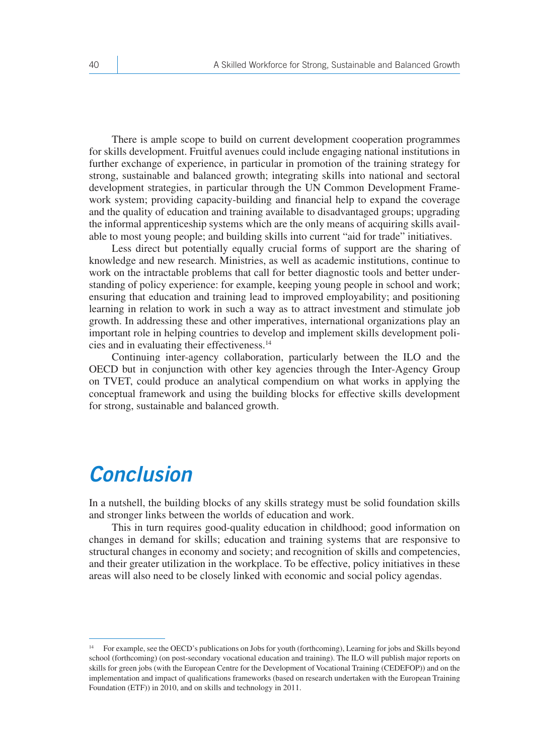There is ample scope to build on current development cooperation programmes for skills development. Fruitful avenues could include engaging national institutions in further exchange of experience, in particular in promotion of the training strategy for strong, sustainable and balanced growth; integrating skills into national and sectoral development strategies, in particular through the UN Common Development Framework system; providing capacity-building and financial help to expand the coverage and the quality of education and training available to disadvantaged groups; upgrading the informal apprenticeship systems which are the only means of acquiring skills available to most young people; and building skills into current "aid for trade" initiatives.

Less direct but potentially equally crucial forms of support are the sharing of knowledge and new research. Ministries, as well as academic institutions, continue to work on the intractable problems that call for better diagnostic tools and better understanding of policy experience: for example, keeping young people in school and work; ensuring that education and training lead to improved employability; and positioning learning in relation to work in such a way as to attract investment and stimulate job growth. In addressing these and other imperatives, international organizations play an important role in helping countries to develop and implement skills development policies and in evaluating their effectiveness.14

Continuing inter-agency collaboration, particularly between the ILO and the OECD but in conjunction with other key agencies through the Inter-Agency Group on TVET, could produce an analytical compendium on what works in applying the conceptual framework and using the building blocks for effective skills development for strong, sustainable and balanced growth.

### *Conclusion*

In a nutshell, the building blocks of any skills strategy must be solid foundation skills and stronger links between the worlds of education and work.

This in turn requires good-quality education in childhood; good information on changes in demand for skills; education and training systems that are responsive to structural changes in economy and society; and recognition of skills and competencies, and their greater utilization in the workplace. To be effective, policy initiatives in these areas will also need to be closely linked with economic and social policy agendas.

<sup>14</sup> For example, see the OECD's publications on Jobs for youth (forthcoming), Learning for jobs and Skills beyond school (forthcoming) (on post-secondary vocational education and training). The ILO will publish major reports on skills for green jobs (with the European Centre for the Development of Vocational Training (CEDEFOP)) and on the implementation and impact of qualifications frameworks (based on research undertaken with the European Training Foundation (ETF)) in 2010, and on skills and technology in 2011.